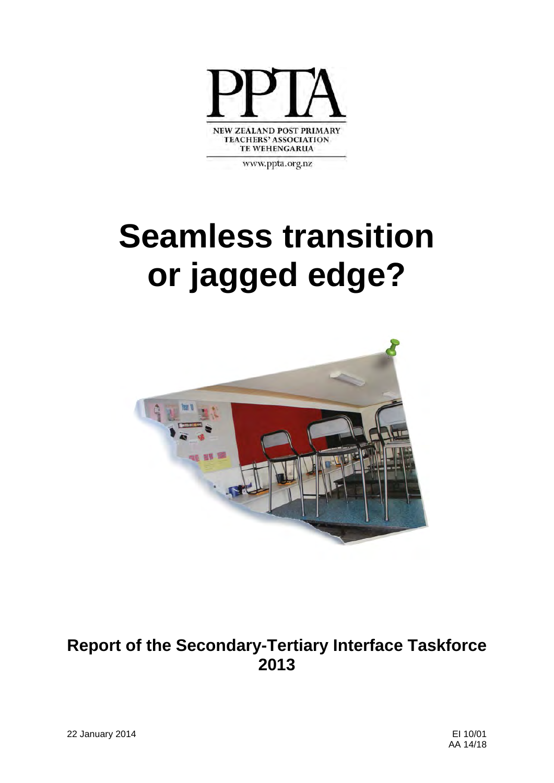

www.ppta.org.nz

# **Seamless transition or jagged edge?**



### **Report of the Secondary-Tertiary Interface Taskforce 2013**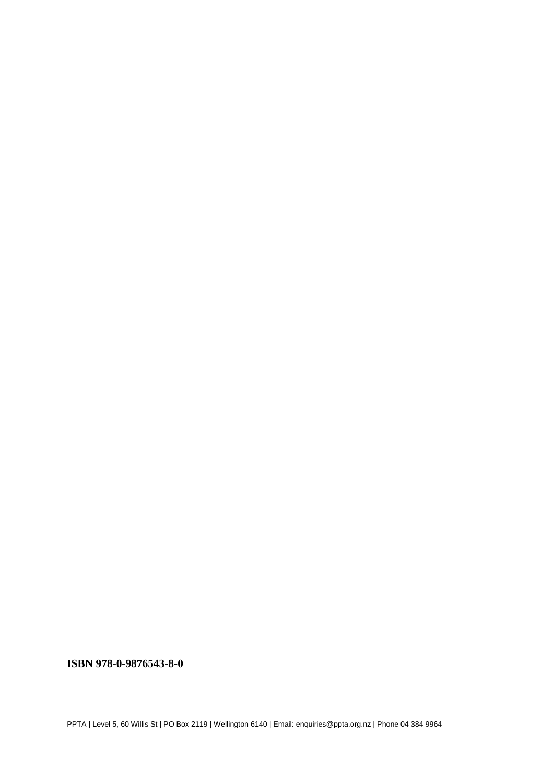**ISBN 978-0-9876543-8-0**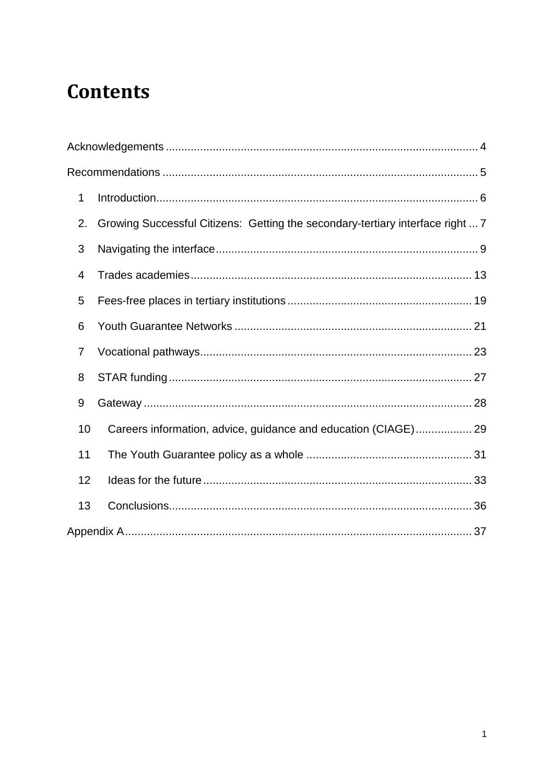## **Contents**

| 1  |                                                                                |  |
|----|--------------------------------------------------------------------------------|--|
| 2. | Growing Successful Citizens: Getting the secondary-tertiary interface right  7 |  |
| 3  |                                                                                |  |
| 4  |                                                                                |  |
| 5  |                                                                                |  |
| 6  |                                                                                |  |
| 7  |                                                                                |  |
| 8  |                                                                                |  |
| 9  |                                                                                |  |
| 10 | Careers information, advice, guidance and education (CIAGE) 29                 |  |
| 11 |                                                                                |  |
| 12 |                                                                                |  |
| 13 |                                                                                |  |
|    |                                                                                |  |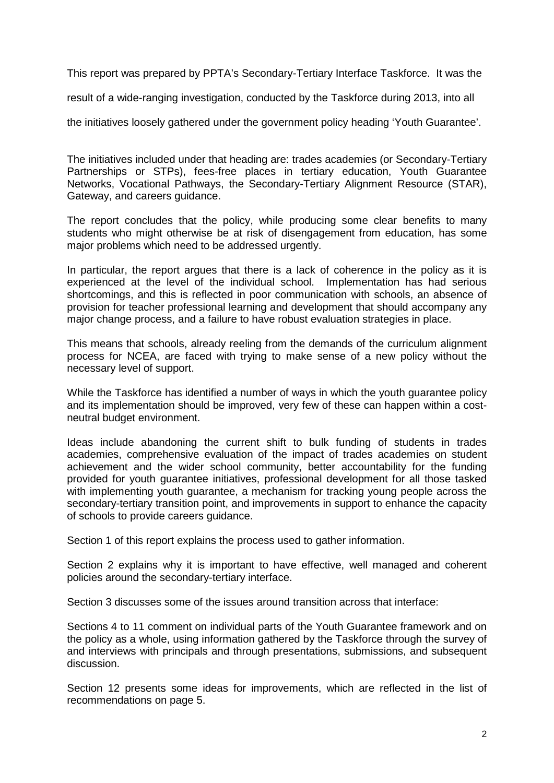This report was prepared by PPTA's Secondary-Tertiary Interface Taskforce. It was the

result of a wide-ranging investigation, conducted by the Taskforce during 2013, into all

the initiatives loosely gathered under the government policy heading 'Youth Guarantee'.

The initiatives included under that heading are: trades academies (or Secondary-Tertiary Partnerships or STPs), fees-free places in tertiary education, Youth Guarantee Networks, Vocational Pathways, the Secondary-Tertiary Alignment Resource (STAR), Gateway, and careers guidance.

The report concludes that the policy, while producing some clear benefits to many students who might otherwise be at risk of disengagement from education, has some major problems which need to be addressed urgently.

In particular, the report argues that there is a lack of coherence in the policy as it is experienced at the level of the individual school. Implementation has had serious shortcomings, and this is reflected in poor communication with schools, an absence of provision for teacher professional learning and development that should accompany any major change process, and a failure to have robust evaluation strategies in place.

This means that schools, already reeling from the demands of the curriculum alignment process for NCEA, are faced with trying to make sense of a new policy without the necessary level of support.

While the Taskforce has identified a number of ways in which the youth guarantee policy and its implementation should be improved, very few of these can happen within a costneutral budget environment.

Ideas include abandoning the current shift to bulk funding of students in trades academies, comprehensive evaluation of the impact of trades academies on student achievement and the wider school community, better accountability for the funding provided for youth guarantee initiatives, professional development for all those tasked with implementing youth guarantee, a mechanism for tracking young people across the secondary-tertiary transition point, and improvements in support to enhance the capacity of schools to provide careers guidance.

Section 1 of this report explains the process used to gather information.

Section 2 explains why it is important to have effective, well managed and coherent policies around the secondary-tertiary interface.

Section 3 discusses some of the issues around transition across that interface:

Sections 4 to 11 comment on individual parts of the Youth Guarantee framework and on the policy as a whole, using information gathered by the Taskforce through the survey of and interviews with principals and through presentations, submissions, and subsequent discussion.

Section 12 presents some ideas for improvements, which are reflected in the list of recommendations on page 5.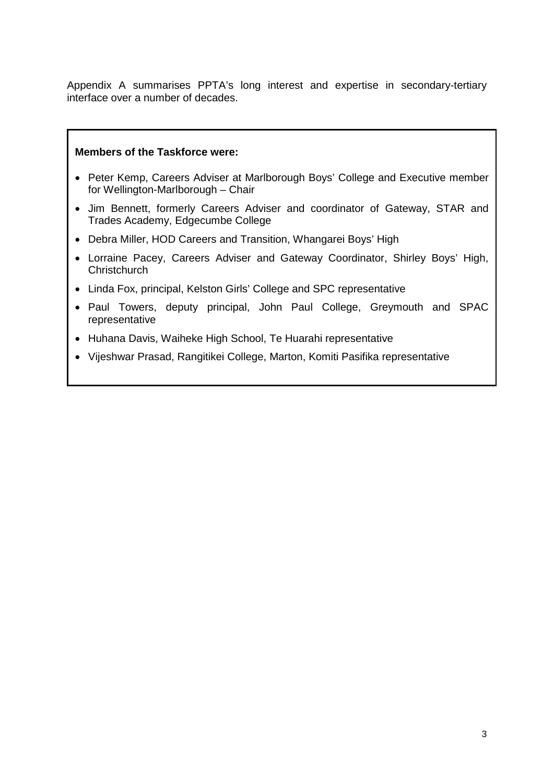Appendix A summarises PPTA's long interest and expertise in secondary-tertiary interface over a number of decades.

#### **Members of the Taskforce were:**

- Peter Kemp, Careers Adviser at Marlborough Boys' College and Executive member for Wellington-Marlborough – Chair
- Jim Bennett, formerly Careers Adviser and coordinator of Gateway, STAR and Trades Academy, Edgecumbe College
- Debra Miller, HOD Careers and Transition, Whangarei Boys' High
- Lorraine Pacey, Careers Adviser and Gateway Coordinator, Shirley Boys' High, **Christchurch**
- Linda Fox, principal, Kelston Girls' College and SPC representative
- Paul Towers, deputy principal, John Paul College, Greymouth and SPAC representative
- Huhana Davis, Waiheke High School, Te Huarahi representative
- Vijeshwar Prasad, Rangitikei College, Marton, Komiti Pasifika representative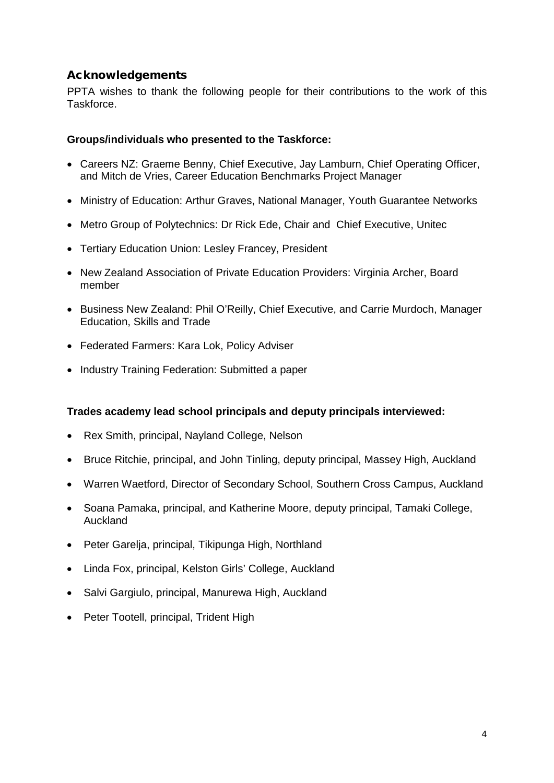#### <span id="page-5-0"></span>Acknowledgements

PPTA wishes to thank the following people for their contributions to the work of this Taskforce.

#### **Groups/individuals who presented to the Taskforce:**

- Careers NZ: Graeme Benny, Chief Executive, Jay Lamburn, Chief Operating Officer, and Mitch de Vries, Career Education Benchmarks Project Manager
- Ministry of Education: Arthur Graves, National Manager, Youth Guarantee Networks
- Metro Group of Polytechnics: Dr Rick Ede, Chair and Chief Executive, Unitec
- Tertiary Education Union: Lesley Francey, President
- New Zealand Association of Private Education Providers: Virginia Archer, Board member
- Business New Zealand: Phil O'Reilly, Chief Executive, and Carrie Murdoch, Manager Education, Skills and Trade
- Federated Farmers: Kara Lok, Policy Adviser
- Industry Training Federation: Submitted a paper

#### **Trades academy lead school principals and deputy principals interviewed:**

- Rex Smith, principal, Nayland College, Nelson
- Bruce Ritchie, principal, and John Tinling, deputy principal, Massey High, Auckland
- Warren Waetford, Director of Secondary School, Southern Cross Campus, Auckland
- Soana Pamaka, principal, and Katherine Moore, deputy principal, Tamaki College, Auckland
- Peter Garelia, principal, Tikipunga High, Northland
- Linda Fox, principal, Kelston Girls' College, Auckland
- Salvi Gargiulo, principal, Manurewa High, Auckland
- Peter Tootell, principal, Trident High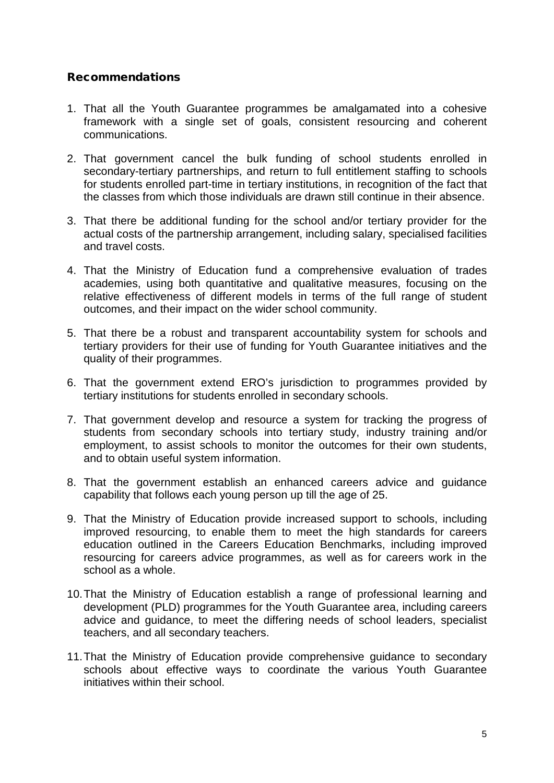#### <span id="page-6-0"></span>Recommendations

- 1. That all the Youth Guarantee programmes be amalgamated into a cohesive framework with a single set of goals, consistent resourcing and coherent communications.
- 2. That government cancel the bulk funding of school students enrolled in secondary-tertiary partnerships, and return to full entitlement staffing to schools for students enrolled part-time in tertiary institutions, in recognition of the fact that the classes from which those individuals are drawn still continue in their absence.
- 3. That there be additional funding for the school and/or tertiary provider for the actual costs of the partnership arrangement, including salary, specialised facilities and travel costs.
- 4. That the Ministry of Education fund a comprehensive evaluation of trades academies, using both quantitative and qualitative measures, focusing on the relative effectiveness of different models in terms of the full range of student outcomes, and their impact on the wider school community.
- 5. That there be a robust and transparent accountability system for schools and tertiary providers for their use of funding for Youth Guarantee initiatives and the quality of their programmes.
- 6. That the government extend ERO's jurisdiction to programmes provided by tertiary institutions for students enrolled in secondary schools.
- 7. That government develop and resource a system for tracking the progress of students from secondary schools into tertiary study, industry training and/or employment, to assist schools to monitor the outcomes for their own students, and to obtain useful system information.
- 8. That the government establish an enhanced careers advice and guidance capability that follows each young person up till the age of 25.
- 9. That the Ministry of Education provide increased support to schools, including improved resourcing, to enable them to meet the high standards for careers education outlined in the Careers Education Benchmarks, including improved resourcing for careers advice programmes, as well as for careers work in the school as a whole.
- 10.That the Ministry of Education establish a range of professional learning and development (PLD) programmes for the Youth Guarantee area, including careers advice and guidance, to meet the differing needs of school leaders, specialist teachers, and all secondary teachers.
- 11.That the Ministry of Education provide comprehensive guidance to secondary schools about effective ways to coordinate the various Youth Guarantee initiatives within their school.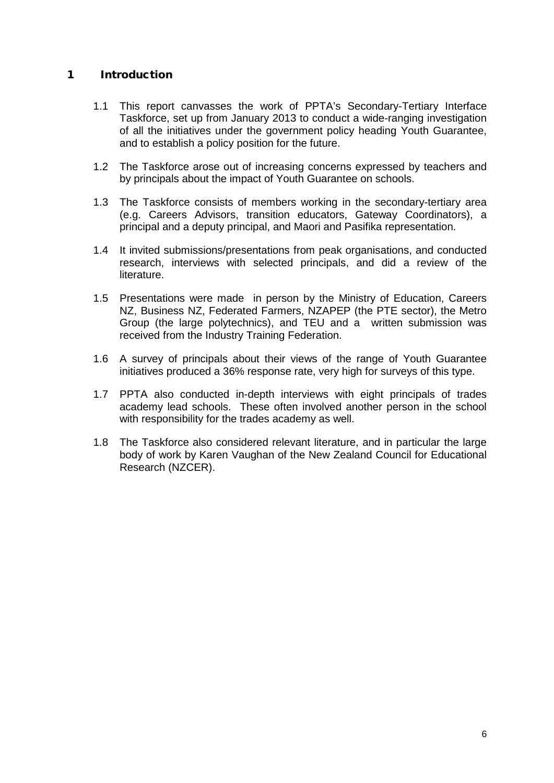#### <span id="page-7-0"></span>1 Introduction

- 1.1 This report canvasses the work of PPTA's Secondary-Tertiary Interface Taskforce, set up from January 2013 to conduct a wide-ranging investigation of all the initiatives under the government policy heading Youth Guarantee, and to establish a policy position for the future.
- 1.2 The Taskforce arose out of increasing concerns expressed by teachers and by principals about the impact of Youth Guarantee on schools.
- 1.3 The Taskforce consists of members working in the secondary-tertiary area (e.g. Careers Advisors, transition educators, Gateway Coordinators), a principal and a deputy principal, and Maori and Pasifika representation.
- 1.4 It invited submissions/presentations from peak organisations, and conducted research, interviews with selected principals, and did a review of the literature.
- 1.5 Presentations were made in person by the Ministry of Education, Careers NZ, Business NZ, Federated Farmers, NZAPEP (the PTE sector), the Metro Group (the large polytechnics), and TEU and a written submission was received from the Industry Training Federation.
- 1.6 A survey of principals about their views of the range of Youth Guarantee initiatives produced a 36% response rate, very high for surveys of this type.
- 1.7 PPTA also conducted in-depth interviews with eight principals of trades academy lead schools. These often involved another person in the school with responsibility for the trades academy as well.
- 1.8 The Taskforce also considered relevant literature, and in particular the large body of work by Karen Vaughan of the New Zealand Council for Educational Research (NZCER).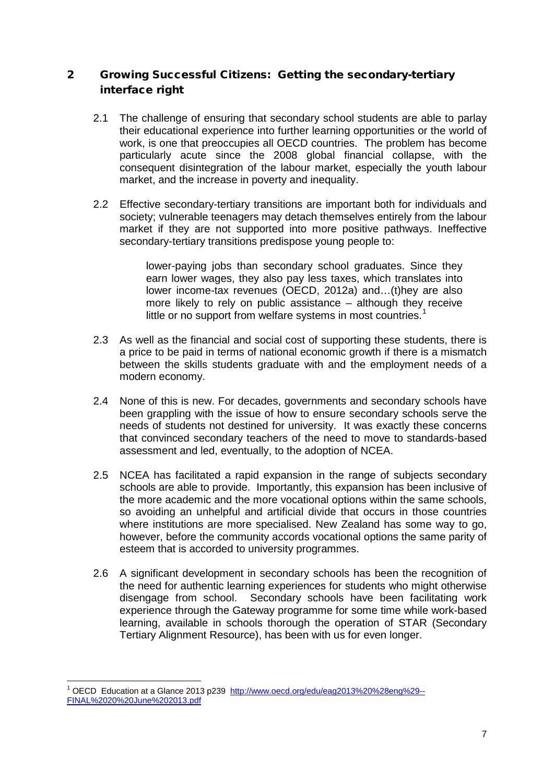#### <span id="page-8-0"></span>2 Growing Successful Citizens: Getting the secondary-tertiary interface right

- 2.1 The challenge of ensuring that secondary school students are able to parlay their educational experience into further learning opportunities or the world of work, is one that preoccupies all OECD countries. The problem has become particularly acute since the 2008 global financial collapse, with the consequent disintegration of the labour market, especially the youth labour market, and the increase in poverty and inequality.
- 2.2 Effective secondary-tertiary transitions are important both for individuals and society; vulnerable teenagers may detach themselves entirely from the labour market if they are not supported into more positive pathways. Ineffective secondary-tertiary transitions predispose young people to:

lower-paying jobs than secondary school graduates. Since they earn lower wages, they also pay less taxes, which translates into lower income-tax revenues (OECD, 2012a) and…(t)hey are also more likely to rely on public assistance – although they receive little or no support from welfare systems in most countries.<sup>[1](#page-8-1)</sup>

- 2.3 As well as the financial and social cost of supporting these students, there is a price to be paid in terms of national economic growth if there is a mismatch between the skills students graduate with and the employment needs of a modern economy.
- 2.4 None of this is new. For decades, governments and secondary schools have been grappling with the issue of how to ensure secondary schools serve the needs of students not destined for university. It was exactly these concerns that convinced secondary teachers of the need to move to standards-based assessment and led, eventually, to the adoption of NCEA.
- 2.5 NCEA has facilitated a rapid expansion in the range of subjects secondary schools are able to provide. Importantly, this expansion has been inclusive of the more academic and the more vocational options within the same schools, so avoiding an unhelpful and artificial divide that occurs in those countries where institutions are more specialised. New Zealand has some way to go, however, before the community accords vocational options the same parity of esteem that is accorded to university programmes.
- 2.6 A significant development in secondary schools has been the recognition of the need for authentic learning experiences for students who might otherwise disengage from school. Secondary schools have been facilitating work experience through the Gateway programme for some time while work-based learning, available in schools thorough the operation of STAR (Secondary Tertiary Alignment Resource), has been with us for even longer.

<span id="page-8-1"></span><sup>&</sup>lt;sup>1</sup> OECD Education at a Glance 2013 p239 [http://www.oecd.org/edu/eag2013%20%28eng%29--](http://www.oecd.org/edu/eag2013%20%28eng%29--FINAL%2020%20June%202013.pdf) [FINAL%2020%20June%202013.pdf](http://www.oecd.org/edu/eag2013%20%28eng%29--FINAL%2020%20June%202013.pdf)  $\overline{a}$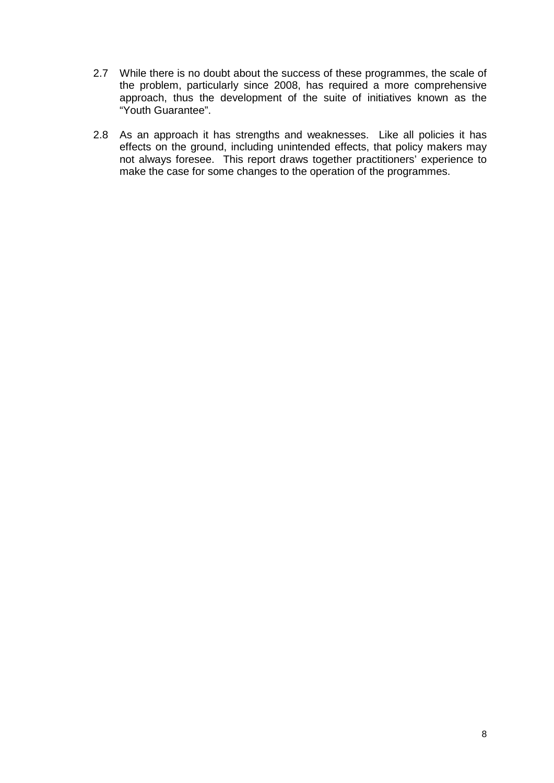- 2.7 While there is no doubt about the success of these programmes, the scale of the problem, particularly since 2008, has required a more comprehensive approach, thus the development of the suite of initiatives known as the "Youth Guarantee".
- 2.8 As an approach it has strengths and weaknesses. Like all policies it has effects on the ground, including unintended effects, that policy makers may not always foresee. This report draws together practitioners' experience to make the case for some changes to the operation of the programmes.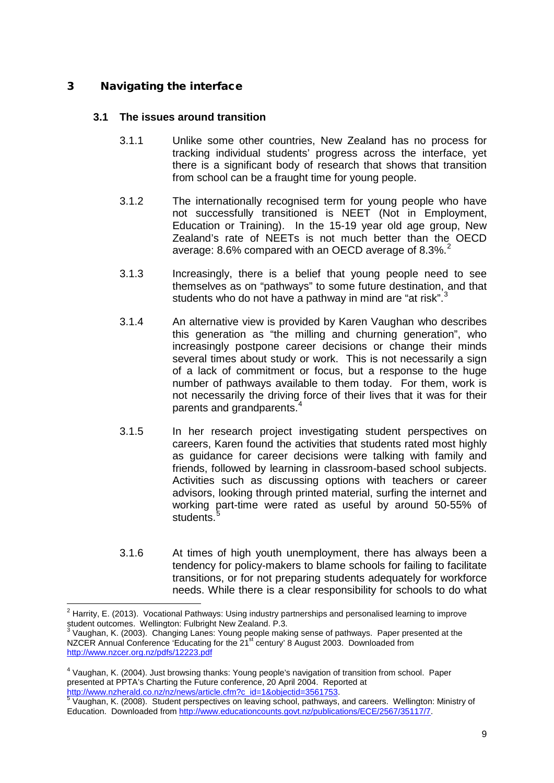#### <span id="page-10-0"></span>3 Navigating the interface

#### **3.1 The issues around transition**

- 3.1.1 Unlike some other countries, New Zealand has no process for tracking individual students' progress across the interface, yet there is a significant body of research that shows that transition from school can be a fraught time for young people.
- 3.1.2 The internationally recognised term for young people who have not successfully transitioned is NEET (Not in Employment, Education or Training). In the 15-19 year old age group, New Zealand's rate of NEETs is not much better than the OECD average: 8.6% compared with an OECD average of 8.3%.<sup>[2](#page-10-1)</sup>
- 3.1.3 Increasingly, there is a belief that young people need to see themselves as on "pathways" to some future destination, and that students who do not have a pathway in mind are "at risk".<sup>[3](#page-10-2)</sup>
- 3.1.4 An alternative view is provided by Karen Vaughan who describes this generation as "the milling and churning generation", who increasingly postpone career decisions or change their minds several times about study or work. This is not necessarily a sign of a lack of commitment or focus, but a response to the huge number of pathways available to them today. For them, work is not necessarily the driving force of their lives that it was for their parents and grandparents.
- 3.1.5 In her research project investigating student perspectives on careers, Karen found the activities that students rated most highly as guidance for career decisions were talking with family and friends, followed by learning in classroom-based school subjects. Activities such as discussing options with teachers or career advisors, looking through printed material, surfing the internet and working part-time were rated as useful by around 50-55% of students.
- 3.1.6 At times of high youth unemployment, there has always been a tendency for policy-makers to blame schools for failing to facilitate transitions, or for not preparing students adequately for workforce needs. While there is a clear responsibility for schools to do what

<span id="page-10-1"></span> $2$  Harrity, E. (2013). Vocational Pathways: Using industry partnerships and personalised learning to improve student outcomes. Wellington: Fulbright New Zealand. P.3.  $\overline{a}$ 

<span id="page-10-2"></span> $3$  Vaughan, K. (2003). Changing Lanes: Young people making sense of pathways. Paper presented at the NZCER Annual Conference 'Educating for the 21<sup>st</sup> century' 8 August 2003. Downloaded from <http://www.nzcer.org.nz/pdfs/12223.pdf>

<span id="page-10-3"></span><sup>4</sup> Vaughan, K. (2004). Just browsing thanks: Young people's navigation of transition from school. Paper presented at PPTA's Charting the Future conference, 20 April 2004. Reported at

<span id="page-10-4"></span>[http://www.nzherald.co.nz/nz/news/article.cfm?c\\_id=1&objectid=3561753.](http://www.nzherald.co.nz/nz/news/article.cfm?c_id=1&objectid=3561753)<br>
<sup>[5](http://www.nzherald.co.nz/nz/news/article.cfm?c_id=1&objectid=3561753)</sup> Vaughan, K. (2008). Student perspectives on leaving school, pathways, and careers. Wellington: Ministry of Education. Downloaded fro[m http://www.educationcounts.govt.nz/publications/ECE/2567/35117/7.](http://www.educationcounts.govt.nz/publications/ECE/2567/35117/7)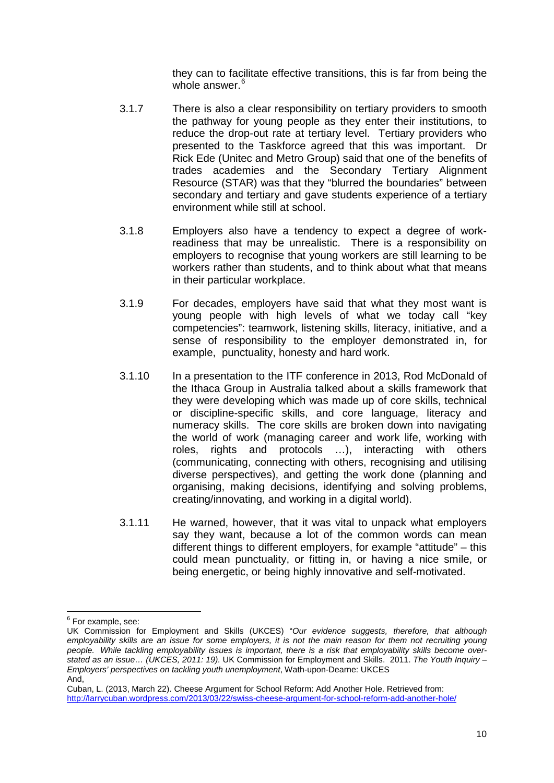they can to facilitate effective transitions, this is far from being the whole answer.<sup>6</sup>

- 3.1.7 There is also a clear responsibility on tertiary providers to smooth the pathway for young people as they enter their institutions, to reduce the drop-out rate at tertiary level. Tertiary providers who presented to the Taskforce agreed that this was important. Dr Rick Ede (Unitec and Metro Group) said that one of the benefits of trades academies and the Secondary Tertiary Alignment Resource (STAR) was that they "blurred the boundaries" between secondary and tertiary and gave students experience of a tertiary environment while still at school.
- 3.1.8 Employers also have a tendency to expect a degree of workreadiness that may be unrealistic. There is a responsibility on employers to recognise that young workers are still learning to be workers rather than students, and to think about what that means in their particular workplace.
- 3.1.9 For decades, employers have said that what they most want is young people with high levels of what we today call "key competencies": teamwork, listening skills, literacy, initiative, and a sense of responsibility to the employer demonstrated in, for example, punctuality, honesty and hard work.
- 3.1.10 In a presentation to the ITF conference in 2013, Rod McDonald of the Ithaca Group in Australia talked about a skills framework that they were developing which was made up of core skills, technical or discipline-specific skills, and core language, literacy and numeracy skills. The core skills are broken down into navigating the world of work (managing career and work life, working with roles, rights and protocols …), interacting with others (communicating, connecting with others, recognising and utilising diverse perspectives), and getting the work done (planning and organising, making decisions, identifying and solving problems, creating/innovating, and working in a digital world).
- 3.1.11 He warned, however, that it was vital to unpack what employers say they want, because a lot of the common words can mean different things to different employers, for example "attitude" – this could mean punctuality, or fitting in, or having a nice smile, or being energetic, or being highly innovative and self-motivated.

<sup>&</sup>lt;sup>6</sup> For example, see:  $\overline{a}$ 

<span id="page-11-0"></span>UK Commission for Employment and Skills (UKCES) "*Our evidence suggests, therefore, that although employability skills are an issue for some employers, it is not the main reason for them not recruiting young people. While tackling employability issues is important, there is a risk that employability skills become overstated as an issue… (UKCES, 2011: 19).* UK Commission for Employment and Skills. 2011. *The Youth Inquiry – Employers' perspectives on tackling youth unemployment*, Wath-upon-Dearne: UKCES And,

Cuban, L. (2013, March 22). Cheese Argument for School Reform: Add Another Hole. Retrieved from: <http://larrycuban.wordpress.com/2013/03/22/swiss-cheese-argument-for-school-reform-add-another-hole/>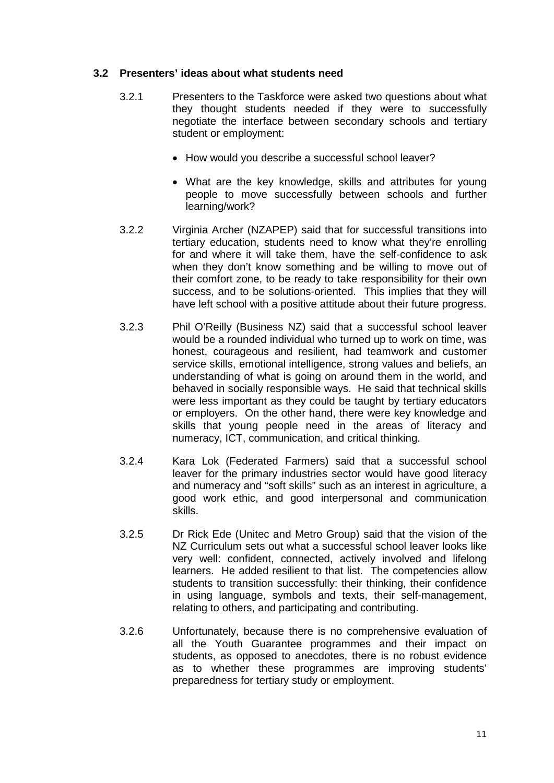#### **3.2 Presenters' ideas about what students need**

- 3.2.1 Presenters to the Taskforce were asked two questions about what they thought students needed if they were to successfully negotiate the interface between secondary schools and tertiary student or employment:
	- How would you describe a successful school leaver?
	- What are the key knowledge, skills and attributes for young people to move successfully between schools and further learning/work?
- 3.2.2 Virginia Archer (NZAPEP) said that for successful transitions into tertiary education, students need to know what they're enrolling for and where it will take them, have the self-confidence to ask when they don't know something and be willing to move out of their comfort zone, to be ready to take responsibility for their own success, and to be solutions-oriented. This implies that they will have left school with a positive attitude about their future progress.
- 3.2.3 Phil O'Reilly (Business NZ) said that a successful school leaver would be a rounded individual who turned up to work on time, was honest, courageous and resilient, had teamwork and customer service skills, emotional intelligence, strong values and beliefs, an understanding of what is going on around them in the world, and behaved in socially responsible ways. He said that technical skills were less important as they could be taught by tertiary educators or employers. On the other hand, there were key knowledge and skills that young people need in the areas of literacy and numeracy, ICT, communication, and critical thinking.
- 3.2.4 Kara Lok (Federated Farmers) said that a successful school leaver for the primary industries sector would have good literacy and numeracy and "soft skills" such as an interest in agriculture, a good work ethic, and good interpersonal and communication skills.
- 3.2.5 Dr Rick Ede (Unitec and Metro Group) said that the vision of the NZ Curriculum sets out what a successful school leaver looks like very well: confident, connected, actively involved and lifelong learners. He added resilient to that list. The competencies allow students to transition successfully: their thinking, their confidence in using language, symbols and texts, their self-management, relating to others, and participating and contributing.
- 3.2.6 Unfortunately, because there is no comprehensive evaluation of all the Youth Guarantee programmes and their impact on students, as opposed to anecdotes, there is no robust evidence as to whether these programmes are improving students' preparedness for tertiary study or employment.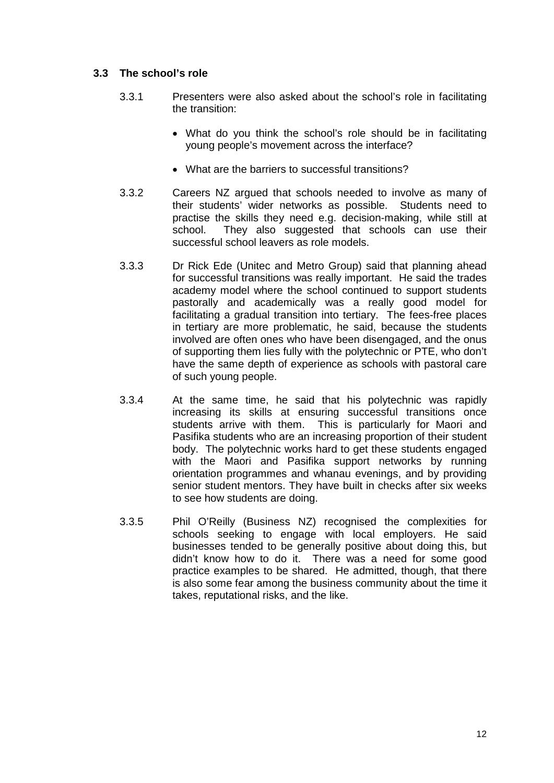#### **3.3 The school's role**

- 3.3.1 Presenters were also asked about the school's role in facilitating the transition:
	- What do you think the school's role should be in facilitating young people's movement across the interface?
	- What are the barriers to successful transitions?
- 3.3.2 Careers NZ argued that schools needed to involve as many of their students' wider networks as possible. Students need to practise the skills they need e.g. decision-making, while still at school. They also suggested that schools can use their successful school leavers as role models.
- 3.3.3 Dr Rick Ede (Unitec and Metro Group) said that planning ahead for successful transitions was really important. He said the trades academy model where the school continued to support students pastorally and academically was a really good model for facilitating a gradual transition into tertiary. The fees-free places in tertiary are more problematic, he said, because the students involved are often ones who have been disengaged, and the onus of supporting them lies fully with the polytechnic or PTE, who don't have the same depth of experience as schools with pastoral care of such young people.
- 3.3.4 At the same time, he said that his polytechnic was rapidly increasing its skills at ensuring successful transitions once students arrive with them. This is particularly for Maori and Pasifika students who are an increasing proportion of their student body. The polytechnic works hard to get these students engaged with the Maori and Pasifika support networks by running orientation programmes and whanau evenings, and by providing senior student mentors. They have built in checks after six weeks to see how students are doing.
- 3.3.5 Phil O'Reilly (Business NZ) recognised the complexities for schools seeking to engage with local employers. He said businesses tended to be generally positive about doing this, but didn't know how to do it. There was a need for some good practice examples to be shared. He admitted, though, that there is also some fear among the business community about the time it takes, reputational risks, and the like.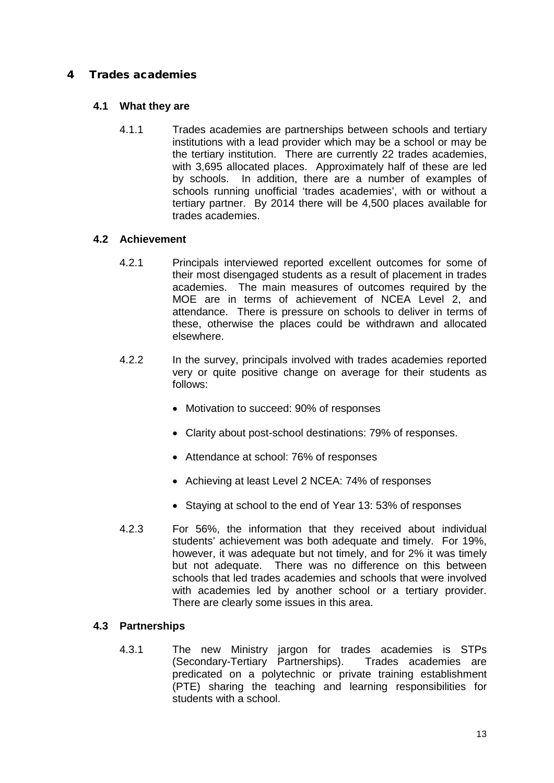#### <span id="page-14-0"></span>4 Trades academies

#### **4.1 What they are**

4.1.1 Trades academies are partnerships between schools and tertiary institutions with a lead provider which may be a school or may be the tertiary institution. There are currently 22 trades academies, with 3,695 allocated places. Approximately half of these are led by schools. In addition, there are a number of examples of schools running unofficial 'trades academies', with or without a tertiary partner. By 2014 there will be 4,500 places available for trades academies.

#### **4.2 Achievement**

- 4.2.1 Principals interviewed reported excellent outcomes for some of their most disengaged students as a result of placement in trades academies. The main measures of outcomes required by the MOE are in terms of achievement of NCEA Level 2, and attendance. There is pressure on schools to deliver in terms of these, otherwise the places could be withdrawn and allocated elsewhere.
- 4.2.2 In the survey, principals involved with trades academies reported very or quite positive change on average for their students as follows:
	- Motivation to succeed: 90% of responses
	- Clarity about post-school destinations: 79% of responses.
	- Attendance at school: 76% of responses
	- Achieving at least Level 2 NCEA: 74% of responses
	- Staying at school to the end of Year 13: 53% of responses
- 4.2.3 For 56%, the information that they received about individual students' achievement was both adequate and timely. For 19%, however, it was adequate but not timely, and for 2% it was timely but not adequate. There was no difference on this between schools that led trades academies and schools that were involved with academies led by another school or a tertiary provider. There are clearly some issues in this area.

#### **4.3 Partnerships**

4.3.1 The new Ministry jargon for trades academies is STPs (Secondary-Tertiary Partnerships). Trades academies are predicated on a polytechnic or private training establishment (PTE) sharing the teaching and learning responsibilities for students with a school.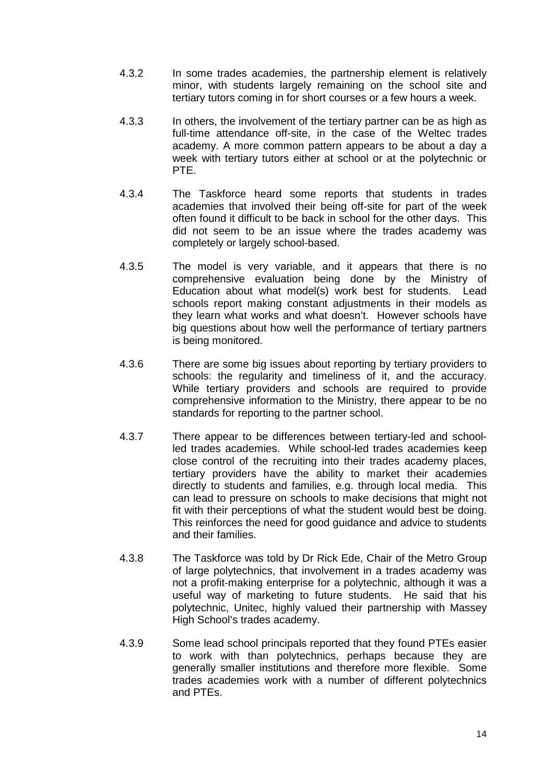- 4.3.2 In some trades academies, the partnership element is relatively minor, with students largely remaining on the school site and tertiary tutors coming in for short courses or a few hours a week.
- 4.3.3 In others, the involvement of the tertiary partner can be as high as full-time attendance off-site, in the case of the Weltec trades academy. A more common pattern appears to be about a day a week with tertiary tutors either at school or at the polytechnic or PTE.
- 4.3.4 The Taskforce heard some reports that students in trades academies that involved their being off-site for part of the week often found it difficult to be back in school for the other days. This did not seem to be an issue where the trades academy was completely or largely school-based.
- 4.3.5 The model is very variable, and it appears that there is no comprehensive evaluation being done by the Ministry of Education about what model(s) work best for students. Lead schools report making constant adjustments in their models as they learn what works and what doesn't. However schools have big questions about how well the performance of tertiary partners is being monitored.
- 4.3.6 There are some big issues about reporting by tertiary providers to schools: the regularity and timeliness of it, and the accuracy. While tertiary providers and schools are required to provide comprehensive information to the Ministry, there appear to be no standards for reporting to the partner school.
- 4.3.7 There appear to be differences between tertiary-led and schoolled trades academies. While school-led trades academies keep close control of the recruiting into their trades academy places, tertiary providers have the ability to market their academies directly to students and families, e.g. through local media. This can lead to pressure on schools to make decisions that might not fit with their perceptions of what the student would best be doing. This reinforces the need for good guidance and advice to students and their families.
- 4.3.8 The Taskforce was told by Dr Rick Ede, Chair of the Metro Group of large polytechnics, that involvement in a trades academy was not a profit-making enterprise for a polytechnic, although it was a useful way of marketing to future students. He said that his polytechnic, Unitec, highly valued their partnership with Massey High School's trades academy.
- 4.3.9 Some lead school principals reported that they found PTEs easier to work with than polytechnics, perhaps because they are generally smaller institutions and therefore more flexible. Some trades academies work with a number of different polytechnics and PTEs.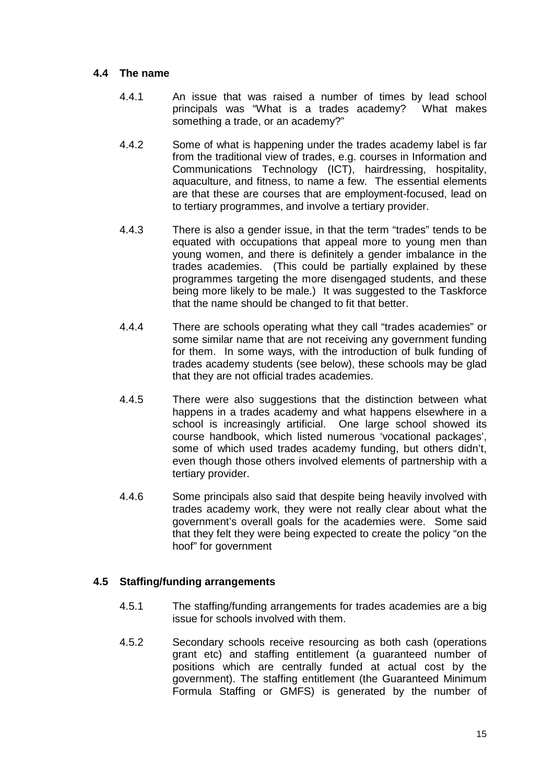#### **4.4 The name**

- 4.4.1 An issue that was raised a number of times by lead school principals was "What is a trades academy? What makes something a trade, or an academy?"
- 4.4.2 Some of what is happening under the trades academy label is far from the traditional view of trades, e.g. courses in Information and Communications Technology (ICT), hairdressing, hospitality, aquaculture, and fitness, to name a few. The essential elements are that these are courses that are employment-focused, lead on to tertiary programmes, and involve a tertiary provider.
- 4.4.3 There is also a gender issue, in that the term "trades" tends to be equated with occupations that appeal more to young men than young women, and there is definitely a gender imbalance in the trades academies. (This could be partially explained by these programmes targeting the more disengaged students, and these being more likely to be male.) It was suggested to the Taskforce that the name should be changed to fit that better.
- 4.4.4 There are schools operating what they call "trades academies" or some similar name that are not receiving any government funding for them. In some ways, with the introduction of bulk funding of trades academy students (see below), these schools may be glad that they are not official trades academies.
- 4.4.5 There were also suggestions that the distinction between what happens in a trades academy and what happens elsewhere in a school is increasingly artificial. One large school showed its course handbook, which listed numerous 'vocational packages', some of which used trades academy funding, but others didn't, even though those others involved elements of partnership with a tertiary provider.
- 4.4.6 Some principals also said that despite being heavily involved with trades academy work, they were not really clear about what the government's overall goals for the academies were. Some said that they felt they were being expected to create the policy "on the hoof" for government

#### **4.5 Staffing/funding arrangements**

- 4.5.1 The staffing/funding arrangements for trades academies are a big issue for schools involved with them.
- 4.5.2 Secondary schools receive resourcing as both cash (operations grant etc) and staffing entitlement (a guaranteed number of positions which are centrally funded at actual cost by the government). The staffing entitlement (the Guaranteed Minimum Formula Staffing or GMFS) is generated by the number of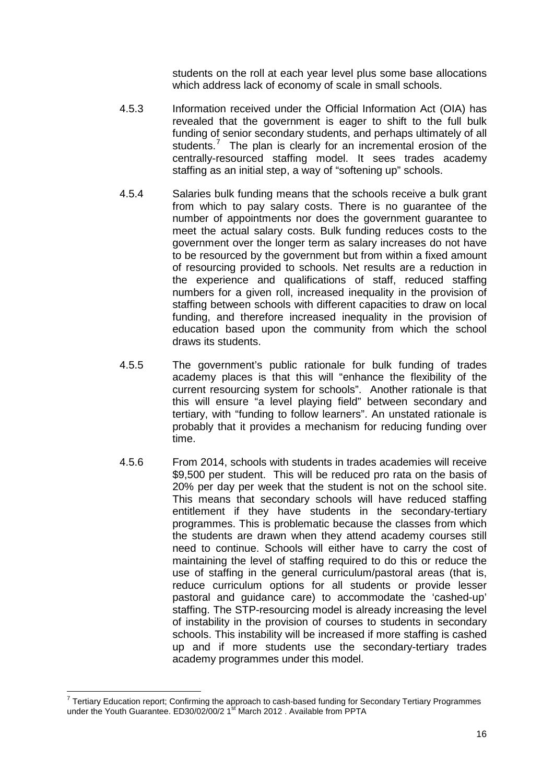students on the roll at each year level plus some base allocations which address lack of economy of scale in small schools.

- 4.5.3 Information received under the Official Information Act (OIA) has revealed that the government is eager to shift to the full bulk funding of senior secondary students, and perhaps ultimately of all students.<sup>[7](#page-17-0)</sup> The plan is clearly for an incremental erosion of the centrally-resourced staffing model. It sees trades academy staffing as an initial step, a way of "softening up" schools.
- 4.5.4 Salaries bulk funding means that the schools receive a bulk grant from which to pay salary costs. There is no guarantee of the number of appointments nor does the government guarantee to meet the actual salary costs. Bulk funding reduces costs to the government over the longer term as salary increases do not have to be resourced by the government but from within a fixed amount of resourcing provided to schools. Net results are a reduction in the experience and qualifications of staff, reduced staffing numbers for a given roll, increased inequality in the provision of staffing between schools with different capacities to draw on local funding, and therefore increased inequality in the provision of education based upon the community from which the school draws its students.
- 4.5.5 The government's public rationale for bulk funding of trades academy places is that this will "enhance the flexibility of the current resourcing system for schools". Another rationale is that this will ensure "a level playing field" between secondary and tertiary, with "funding to follow learners". An unstated rationale is probably that it provides a mechanism for reducing funding over time.
- 4.5.6 From 2014, schools with students in trades academies will receive \$9,500 per student. This will be reduced pro rata on the basis of 20% per day per week that the student is not on the school site. This means that secondary schools will have reduced staffing entitlement if they have students in the secondary-tertiary programmes. This is problematic because the classes from which the students are drawn when they attend academy courses still need to continue. Schools will either have to carry the cost of maintaining the level of staffing required to do this or reduce the use of staffing in the general curriculum/pastoral areas (that is, reduce curriculum options for all students or provide lesser pastoral and guidance care) to accommodate the 'cashed-up' staffing. The STP-resourcing model is already increasing the level of instability in the provision of courses to students in secondary schools. This instability will be increased if more staffing is cashed up and if more students use the secondary-tertiary trades academy programmes under this model.

<span id="page-17-0"></span> $7$  Tertiary Education report; Confirming the approach to cash-based funding for Secondary Tertiary Programmes under the Youth Guarantee. ED30/02/00/2 1<sup>st</sup> March 2012 . Available from PPTA  $\overline{a}$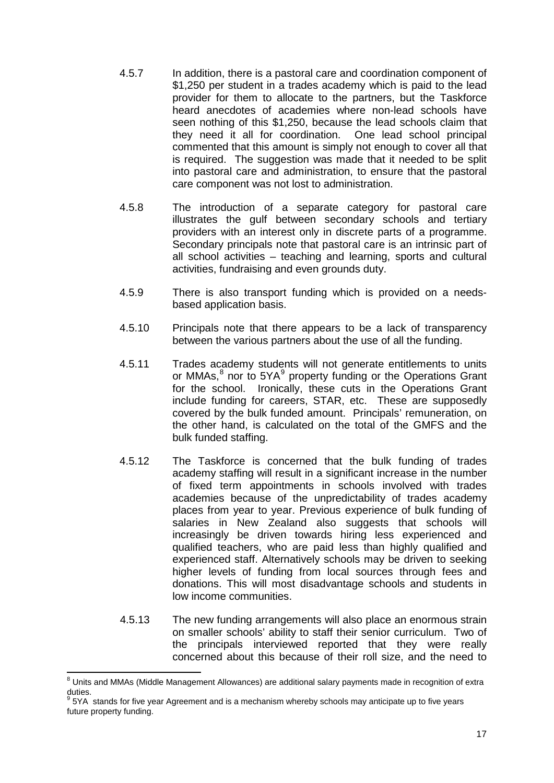- 4.5.7 In addition, there is a pastoral care and coordination component of \$1,250 per student in a trades academy which is paid to the lead provider for them to allocate to the partners, but the Taskforce heard anecdotes of academies where non-lead schools have seen nothing of this \$1,250, because the lead schools claim that they need it all for coordination. One lead school principal commented that this amount is simply not enough to cover all that is required. The suggestion was made that it needed to be split into pastoral care and administration, to ensure that the pastoral care component was not lost to administration.
- 4.5.8 The introduction of a separate category for pastoral care illustrates the gulf between secondary schools and tertiary providers with an interest only in discrete parts of a programme. Secondary principals note that pastoral care is an intrinsic part of all school activities – teaching and learning, sports and cultural activities, fundraising and even grounds duty.
- 4.5.9 There is also transport funding which is provided on a needsbased application basis.
- 4.5.10 Principals note that there appears to be a lack of transparency between the various partners about the use of all the funding.
- 4.5.11 Trades academy students will not generate entitlements to units or MMAs,<sup>[8](#page-18-0)</sup> nor to 5YA<sup>[9](#page-18-1)</sup> property funding or the Operations Grant for the school. Ironically, these cuts in the Operations Grant include funding for careers, STAR, etc. These are supposedly covered by the bulk funded amount. Principals' remuneration, on the other hand, is calculated on the total of the GMFS and the bulk funded staffing.
- 4.5.12 The Taskforce is concerned that the bulk funding of trades academy staffing will result in a significant increase in the number of fixed term appointments in schools involved with trades academies because of the unpredictability of trades academy places from year to year. Previous experience of bulk funding of salaries in New Zealand also suggests that schools will increasingly be driven towards hiring less experienced and qualified teachers, who are paid less than highly qualified and experienced staff. Alternatively schools may be driven to seeking higher levels of funding from local sources through fees and donations. This will most disadvantage schools and students in low income communities.
- 4.5.13 The new funding arrangements will also place an enormous strain on smaller schools' ability to staff their senior curriculum. Two of the principals interviewed reported that they were really concerned about this because of their roll size, and the need to

<span id="page-18-0"></span><sup>&</sup>lt;sup>8</sup> Units and MMAs (Middle Management Allowances) are additional salary payments made in recognition of extra duties.  $\overline{a}$ 

<span id="page-18-1"></span><sup>5</sup>YA stands for five year Agreement and is a mechanism whereby schools may anticipate up to five years future property funding.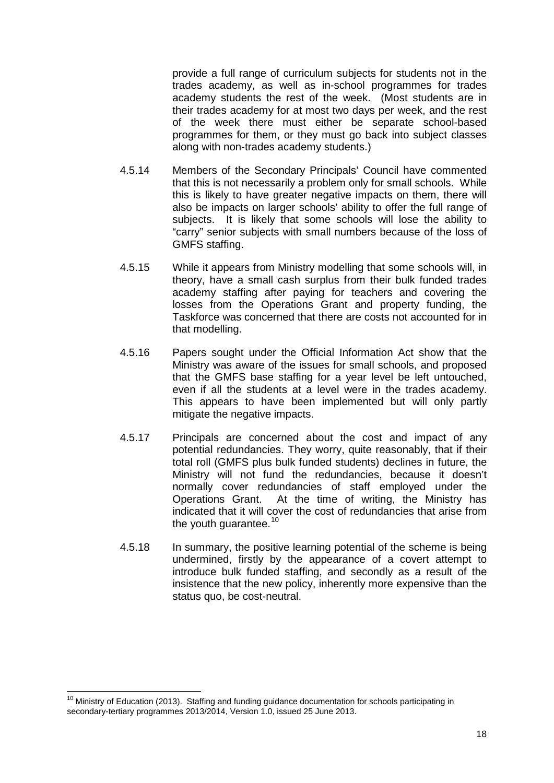provide a full range of curriculum subjects for students not in the trades academy, as well as in-school programmes for trades academy students the rest of the week. (Most students are in their trades academy for at most two days per week, and the rest of the week there must either be separate school-based programmes for them, or they must go back into subject classes along with non-trades academy students.)

- 4.5.14 Members of the Secondary Principals' Council have commented that this is not necessarily a problem only for small schools. While this is likely to have greater negative impacts on them, there will also be impacts on larger schools' ability to offer the full range of subjects. It is likely that some schools will lose the ability to "carry" senior subjects with small numbers because of the loss of GMFS staffing.
- 4.5.15 While it appears from Ministry modelling that some schools will, in theory, have a small cash surplus from their bulk funded trades academy staffing after paying for teachers and covering the losses from the Operations Grant and property funding, the Taskforce was concerned that there are costs not accounted for in that modelling.
- 4.5.16 Papers sought under the Official Information Act show that the Ministry was aware of the issues for small schools, and proposed that the GMFS base staffing for a year level be left untouched, even if all the students at a level were in the trades academy. This appears to have been implemented but will only partly mitigate the negative impacts.
- 4.5.17 Principals are concerned about the cost and impact of any potential redundancies. They worry, quite reasonably, that if their total roll (GMFS plus bulk funded students) declines in future, the Ministry will not fund the redundancies, because it doesn't normally cover redundancies of staff employed under the Operations Grant. At the time of writing, the Ministry has indicated that it will cover the cost of redundancies that arise from the youth guarantee.<sup>[10](#page-19-0)</sup>
- 4.5.18 In summary, the positive learning potential of the scheme is being undermined, firstly by the appearance of a covert attempt to introduce bulk funded staffing, and secondly as a result of the insistence that the new policy, inherently more expensive than the status quo, be cost-neutral.

<span id="page-19-0"></span><sup>&</sup>lt;sup>10</sup> Ministry of Education (2013). Staffing and funding guidance documentation for schools participating in secondary-tertiary programmes 2013/2014, Version 1.0, issued 25 June 2013.  $\overline{a}$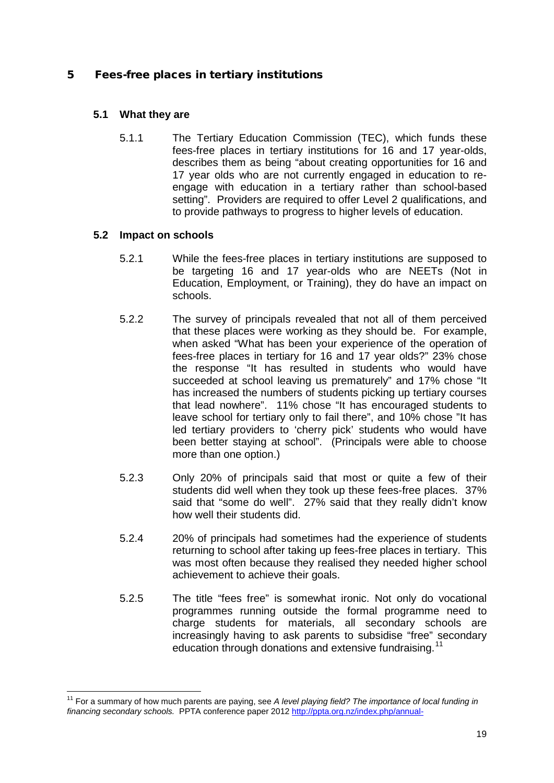#### <span id="page-20-0"></span>5 Fees-free places in tertiary institutions

#### **5.1 What they are**

5.1.1 The Tertiary Education Commission (TEC), which funds these fees-free places in tertiary institutions for 16 and 17 year-olds, describes them as being "about creating opportunities for 16 and 17 year olds who are not currently engaged in education to reengage with education in a tertiary rather than school-based setting". Providers are required to offer Level 2 qualifications, and to provide pathways to progress to higher levels of education.

#### **5.2 Impact on schools**

- 5.2.1 While the fees-free places in tertiary institutions are supposed to be targeting 16 and 17 year-olds who are NEETs (Not in Education, Employment, or Training), they do have an impact on schools.
- 5.2.2 The survey of principals revealed that not all of them perceived that these places were working as they should be. For example, when asked "What has been your experience of the operation of fees-free places in tertiary for 16 and 17 year olds?" 23% chose the response "It has resulted in students who would have succeeded at school leaving us prematurely" and 17% chose "It has increased the numbers of students picking up tertiary courses that lead nowhere". 11% chose "It has encouraged students to leave school for tertiary only to fail there", and 10% chose "It has led tertiary providers to 'cherry pick' students who would have been better staying at school". (Principals were able to choose more than one option.)
- 5.2.3 Only 20% of principals said that most or quite a few of their students did well when they took up these fees-free places. 37% said that "some do well". 27% said that they really didn't know how well their students did.
- 5.2.4 20% of principals had sometimes had the experience of students returning to school after taking up fees-free places in tertiary. This was most often because they realised they needed higher school achievement to achieve their goals.
- 5.2.5 The title "fees free" is somewhat ironic. Not only do vocational programmes running outside the formal programme need to charge students for materials, all secondary schools are increasingly having to ask parents to subsidise "free" secondary education through donations and extensive fundraising.<sup>[11](#page-20-1)</sup>

<span id="page-20-1"></span><sup>&</sup>lt;sup>11</sup> For a summary of how much parents are paying, see *A level playing field? The importance of local funding in financing secondary schools.* PPTA conference paper 201[2 http://ppta.org.nz/index.php/annual-](http://ppta.org.nz/index.php/annual-conference/conference-papers/doc_download/1501-a-level-playing-field-the-importance-of-local-funding-in-financing-secondary-schools-to-meet-) $\overline{a}$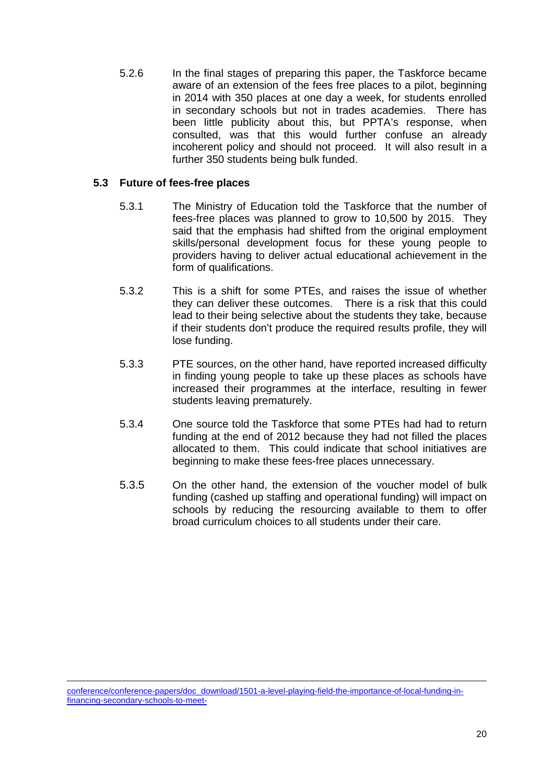5.2.6 In the final stages of preparing this paper, the Taskforce became aware of an extension of the fees free places to a pilot, beginning in 2014 with 350 places at one day a week, for students enrolled in secondary schools but not in trades academies. There has been little publicity about this, but PPTA's response, when consulted, was that this would further confuse an already incoherent policy and should not proceed. It will also result in a further 350 students being bulk funded.

#### **5.3 Future of fees-free places**

- 5.3.1 The Ministry of Education told the Taskforce that the number of fees-free places was planned to grow to 10,500 by 2015. They said that the emphasis had shifted from the original employment skills/personal development focus for these young people to providers having to deliver actual educational achievement in the form of qualifications.
- 5.3.2 This is a shift for some PTEs, and raises the issue of whether they can deliver these outcomes. There is a risk that this could lead to their being selective about the students they take, because if their students don't produce the required results profile, they will lose funding.
- 5.3.3 PTE sources, on the other hand, have reported increased difficulty in finding young people to take up these places as schools have increased their programmes at the interface, resulting in fewer students leaving prematurely.
- 5.3.4 One source told the Taskforce that some PTEs had had to return funding at the end of 2012 because they had not filled the places allocated to them. This could indicate that school initiatives are beginning to make these fees-free places unnecessary.
- 5.3.5 On the other hand, the extension of the voucher model of bulk funding (cashed up staffing and operational funding) will impact on schools by reducing the resourcing available to them to offer broad curriculum choices to all students under their care.

[conference/conference-papers/doc\\_download/1501-a-level-playing-field-the-importance-of-local-funding-in](http://ppta.org.nz/index.php/annual-conference/conference-papers/doc_download/1501-a-level-playing-field-the-importance-of-local-funding-in-financing-secondary-schools-to-meet-)[financing-secondary-schools-to-meet-](http://ppta.org.nz/index.php/annual-conference/conference-papers/doc_download/1501-a-level-playing-field-the-importance-of-local-funding-in-financing-secondary-schools-to-meet-)-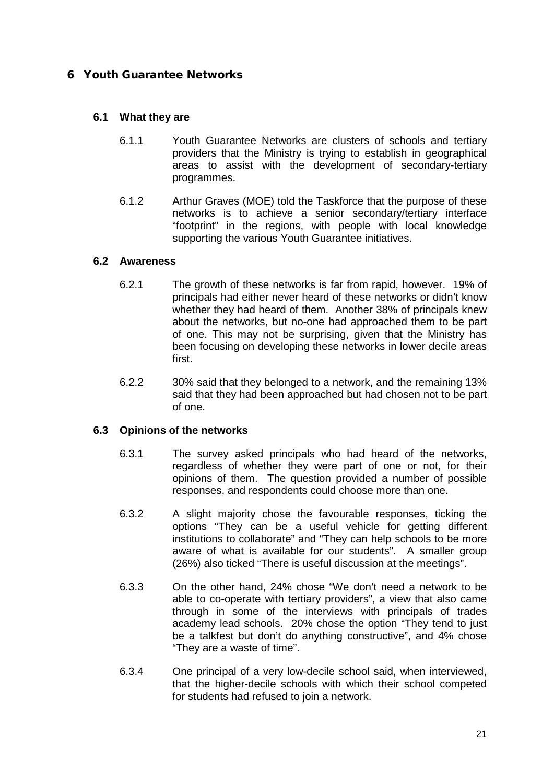#### <span id="page-22-0"></span>6 Youth Guarantee Networks

#### **6.1 What they are**

- 6.1.1 Youth Guarantee Networks are clusters of schools and tertiary providers that the Ministry is trying to establish in geographical areas to assist with the development of secondary-tertiary programmes.
- 6.1.2 Arthur Graves (MOE) told the Taskforce that the purpose of these networks is to achieve a senior secondary/tertiary interface "footprint" in the regions, with people with local knowledge supporting the various Youth Guarantee initiatives.

#### **6.2 Awareness**

- 6.2.1 The growth of these networks is far from rapid, however. 19% of principals had either never heard of these networks or didn't know whether they had heard of them. Another 38% of principals knew about the networks, but no-one had approached them to be part of one. This may not be surprising, given that the Ministry has been focusing on developing these networks in lower decile areas first.
- 6.2.2 30% said that they belonged to a network, and the remaining 13% said that they had been approached but had chosen not to be part of one.

#### **6.3 Opinions of the networks**

- 6.3.1 The survey asked principals who had heard of the networks, regardless of whether they were part of one or not, for their opinions of them. The question provided a number of possible responses, and respondents could choose more than one.
- 6.3.2 A slight majority chose the favourable responses, ticking the options "They can be a useful vehicle for getting different institutions to collaborate" and "They can help schools to be more aware of what is available for our students". A smaller group (26%) also ticked "There is useful discussion at the meetings".
- 6.3.3 On the other hand, 24% chose "We don't need a network to be able to co-operate with tertiary providers", a view that also came through in some of the interviews with principals of trades academy lead schools. 20% chose the option "They tend to just be a talkfest but don't do anything constructive", and 4% chose "They are a waste of time".
- 6.3.4 One principal of a very low-decile school said, when interviewed, that the higher-decile schools with which their school competed for students had refused to join a network.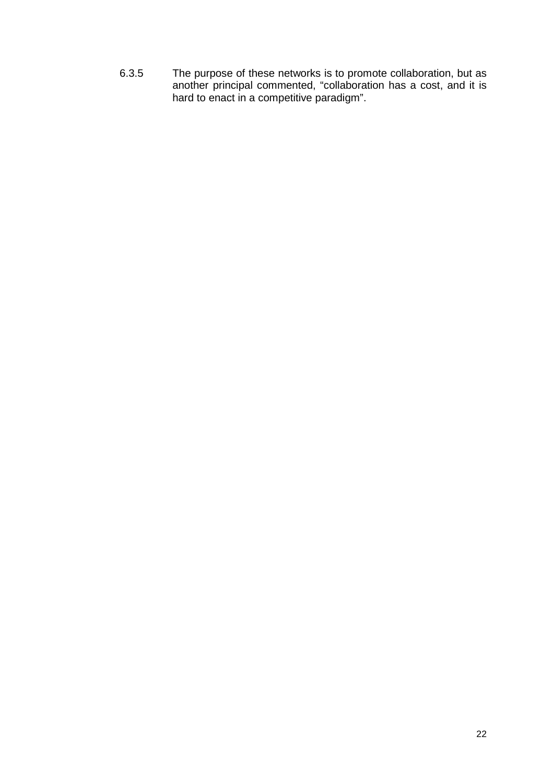6.3.5 The purpose of these networks is to promote collaboration, but as another principal commented, "collaboration has a cost, and it is hard to enact in a competitive paradigm".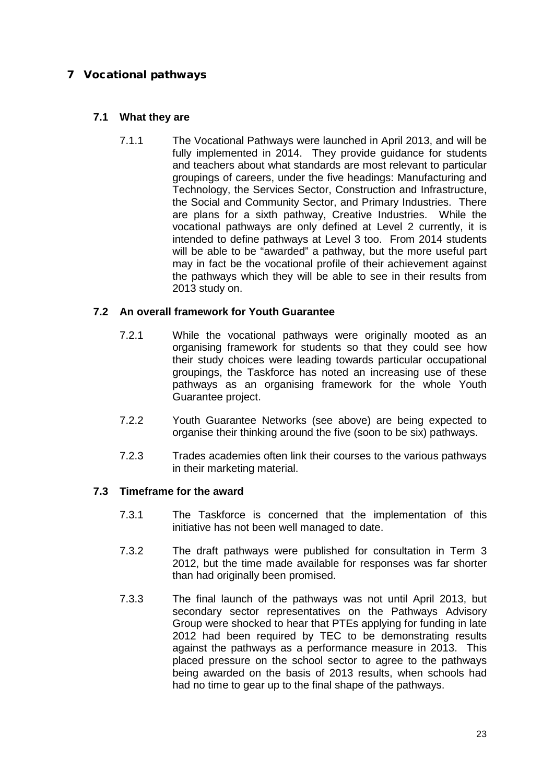#### <span id="page-24-0"></span>7 Vocational pathways

#### **7.1 What they are**

7.1.1 The Vocational Pathways were launched in April 2013, and will be fully implemented in 2014. They provide guidance for students and teachers about what standards are most relevant to particular groupings of careers, under the five headings: Manufacturing and Technology, the Services Sector, Construction and Infrastructure, the Social and Community Sector, and Primary Industries. There are plans for a sixth pathway, Creative Industries. While the vocational pathways are only defined at Level 2 currently, it is intended to define pathways at Level 3 too. From 2014 students will be able to be "awarded" a pathway, but the more useful part may in fact be the vocational profile of their achievement against the pathways which they will be able to see in their results from 2013 study on.

#### **7.2 An overall framework for Youth Guarantee**

- 7.2.1 While the vocational pathways were originally mooted as an organising framework for students so that they could see how their study choices were leading towards particular occupational groupings, the Taskforce has noted an increasing use of these pathways as an organising framework for the whole Youth Guarantee project.
- 7.2.2 Youth Guarantee Networks (see above) are being expected to organise their thinking around the five (soon to be six) pathways.
- 7.2.3 Trades academies often link their courses to the various pathways in their marketing material.

#### **7.3 Timeframe for the award**

- 7.3.1 The Taskforce is concerned that the implementation of this initiative has not been well managed to date.
- 7.3.2 The draft pathways were published for consultation in Term 3 2012, but the time made available for responses was far shorter than had originally been promised.
- 7.3.3 The final launch of the pathways was not until April 2013, but secondary sector representatives on the Pathways Advisory Group were shocked to hear that PTEs applying for funding in late 2012 had been required by TEC to be demonstrating results against the pathways as a performance measure in 2013. This placed pressure on the school sector to agree to the pathways being awarded on the basis of 2013 results, when schools had had no time to gear up to the final shape of the pathways.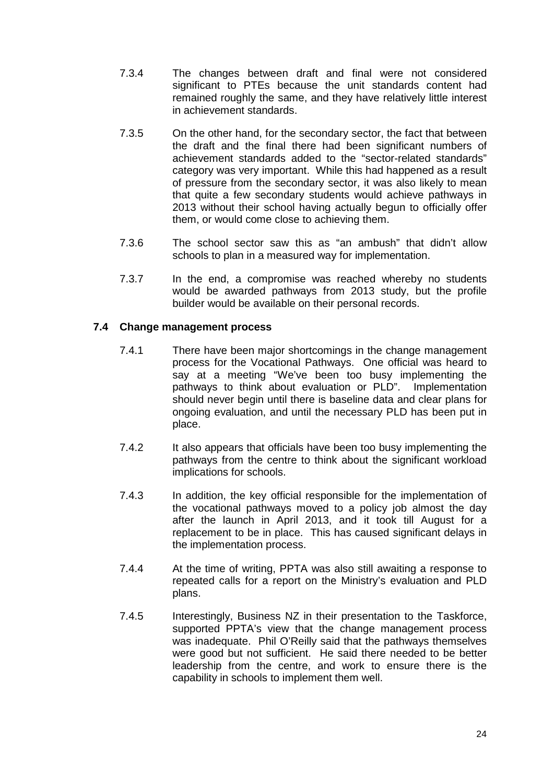- 7.3.4 The changes between draft and final were not considered significant to PTEs because the unit standards content had remained roughly the same, and they have relatively little interest in achievement standards.
- 7.3.5 On the other hand, for the secondary sector, the fact that between the draft and the final there had been significant numbers of achievement standards added to the "sector-related standards" category was very important. While this had happened as a result of pressure from the secondary sector, it was also likely to mean that quite a few secondary students would achieve pathways in 2013 without their school having actually begun to officially offer them, or would come close to achieving them.
- 7.3.6 The school sector saw this as "an ambush" that didn't allow schools to plan in a measured way for implementation.
- 7.3.7 In the end, a compromise was reached whereby no students would be awarded pathways from 2013 study, but the profile builder would be available on their personal records.

#### **7.4 Change management process**

- 7.4.1 There have been major shortcomings in the change management process for the Vocational Pathways. One official was heard to say at a meeting "We've been too busy implementing the pathways to think about evaluation or PLD". Implementation should never begin until there is baseline data and clear plans for ongoing evaluation, and until the necessary PLD has been put in place.
- 7.4.2 It also appears that officials have been too busy implementing the pathways from the centre to think about the significant workload implications for schools.
- 7.4.3 In addition, the key official responsible for the implementation of the vocational pathways moved to a policy job almost the day after the launch in April 2013, and it took till August for a replacement to be in place. This has caused significant delays in the implementation process.
- 7.4.4 At the time of writing, PPTA was also still awaiting a response to repeated calls for a report on the Ministry's evaluation and PLD plans.
- 7.4.5 Interestingly, Business NZ in their presentation to the Taskforce, supported PPTA's view that the change management process was inadequate. Phil O'Reilly said that the pathways themselves were good but not sufficient. He said there needed to be better leadership from the centre, and work to ensure there is the capability in schools to implement them well.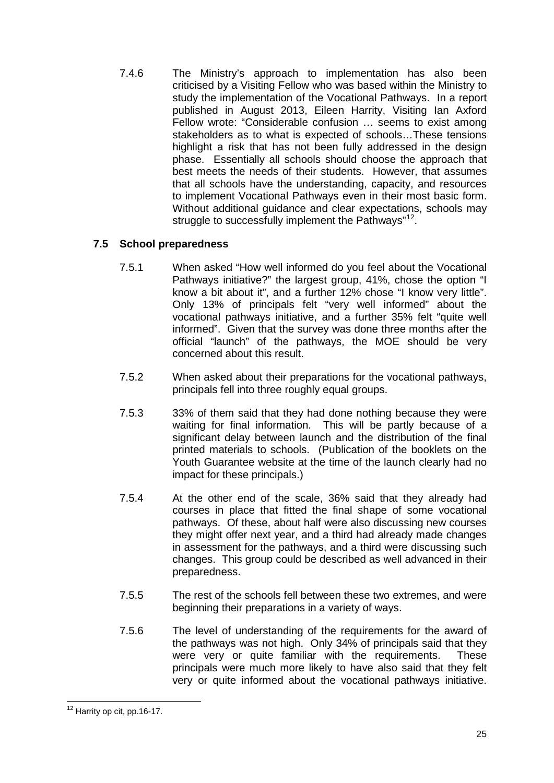7.4.6 The Ministry's approach to implementation has also been criticised by a Visiting Fellow who was based within the Ministry to study the implementation of the Vocational Pathways. In a report published in August 2013, Eileen Harrity, Visiting Ian Axford Fellow wrote: "Considerable confusion … seems to exist among stakeholders as to what is expected of schools…These tensions highlight a risk that has not been fully addressed in the design phase. Essentially all schools should choose the approach that best meets the needs of their students. However, that assumes that all schools have the understanding, capacity, and resources to implement Vocational Pathways even in their most basic form. Without additional guidance and clear expectations, schools may struggle to successfully implement the Pathways"<sup>[12](#page-26-0)</sup>.

#### **7.5 School preparedness**

- 7.5.1 When asked "How well informed do you feel about the Vocational Pathways initiative?" the largest group, 41%, chose the option "I know a bit about it", and a further 12% chose "I know very little". Only 13% of principals felt "very well informed" about the vocational pathways initiative, and a further 35% felt "quite well informed". Given that the survey was done three months after the official "launch" of the pathways, the MOE should be very concerned about this result.
- 7.5.2 When asked about their preparations for the vocational pathways, principals fell into three roughly equal groups.
- 7.5.3 33% of them said that they had done nothing because they were waiting for final information. This will be partly because of a significant delay between launch and the distribution of the final printed materials to schools. (Publication of the booklets on the Youth Guarantee website at the time of the launch clearly had no impact for these principals.)
- 7.5.4 At the other end of the scale, 36% said that they already had courses in place that fitted the final shape of some vocational pathways. Of these, about half were also discussing new courses they might offer next year, and a third had already made changes in assessment for the pathways, and a third were discussing such changes. This group could be described as well advanced in their preparedness.
- 7.5.5 The rest of the schools fell between these two extremes, and were beginning their preparations in a variety of ways.
- 7.5.6 The level of understanding of the requirements for the award of the pathways was not high. Only 34% of principals said that they were very or quite familiar with the requirements. These principals were much more likely to have also said that they felt very or quite informed about the vocational pathways initiative.

<span id="page-26-0"></span> $12$  Harrity op cit, pp.16-17.  $\overline{a}$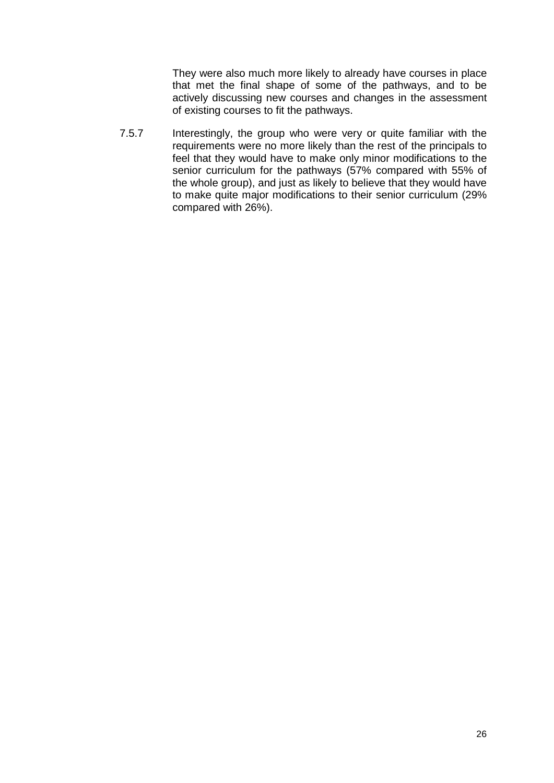They were also much more likely to already have courses in place that met the final shape of some of the pathways, and to be actively discussing new courses and changes in the assessment of existing courses to fit the pathways.

7.5.7 Interestingly, the group who were very or quite familiar with the requirements were no more likely than the rest of the principals to feel that they would have to make only minor modifications to the senior curriculum for the pathways (57% compared with 55% of the whole group), and just as likely to believe that they would have to make quite major modifications to their senior curriculum (29% compared with 26%).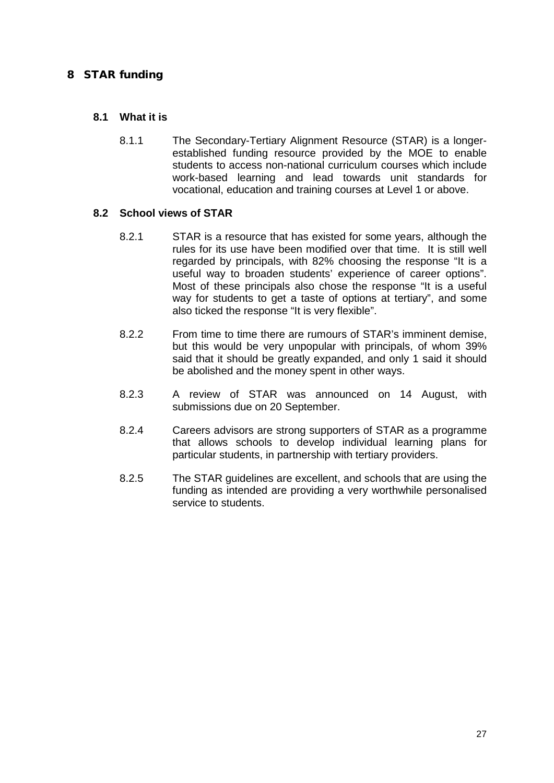#### <span id="page-28-0"></span>8 STAR funding

#### **8.1 What it is**

8.1.1 The Secondary-Tertiary Alignment Resource (STAR) is a longerestablished funding resource provided by the MOE to enable students to access non-national curriculum courses which include work-based learning and lead towards unit standards for vocational, education and training courses at Level 1 or above.

#### **8.2 School views of STAR**

- 8.2.1 STAR is a resource that has existed for some years, although the rules for its use have been modified over that time. It is still well regarded by principals, with 82% choosing the response "It is a useful way to broaden students' experience of career options". Most of these principals also chose the response "It is a useful way for students to get a taste of options at tertiary", and some also ticked the response "It is very flexible".
- 8.2.2 From time to time there are rumours of STAR's imminent demise, but this would be very unpopular with principals, of whom 39% said that it should be greatly expanded, and only 1 said it should be abolished and the money spent in other ways.
- 8.2.3 A review of STAR was announced on 14 August, with submissions due on 20 September.
- 8.2.4 Careers advisors are strong supporters of STAR as a programme that allows schools to develop individual learning plans for particular students, in partnership with tertiary providers.
- 8.2.5 The STAR guidelines are excellent, and schools that are using the funding as intended are providing a very worthwhile personalised service to students.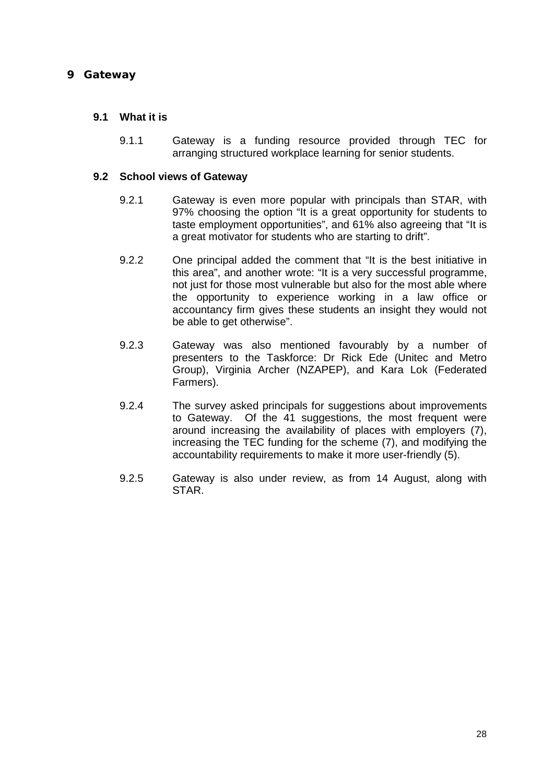#### <span id="page-29-0"></span>9 Gateway

#### **9.1 What it is**

9.1.1 Gateway is a funding resource provided through TEC for arranging structured workplace learning for senior students.

#### **9.2 School views of Gateway**

- 9.2.1 Gateway is even more popular with principals than STAR, with 97% choosing the option "It is a great opportunity for students to taste employment opportunities", and 61% also agreeing that "It is a great motivator for students who are starting to drift".
- 9.2.2 One principal added the comment that "It is the best initiative in this area", and another wrote: "It is a very successful programme, not just for those most vulnerable but also for the most able where the opportunity to experience working in a law office or accountancy firm gives these students an insight they would not be able to get otherwise".
- 9.2.3 Gateway was also mentioned favourably by a number of presenters to the Taskforce: Dr Rick Ede (Unitec and Metro Group), Virginia Archer (NZAPEP), and Kara Lok (Federated Farmers).
- 9.2.4 The survey asked principals for suggestions about improvements to Gateway. Of the 41 suggestions, the most frequent were around increasing the availability of places with employers (7), increasing the TEC funding for the scheme (7), and modifying the accountability requirements to make it more user-friendly (5).
- 9.2.5 Gateway is also under review, as from 14 August, along with STAR.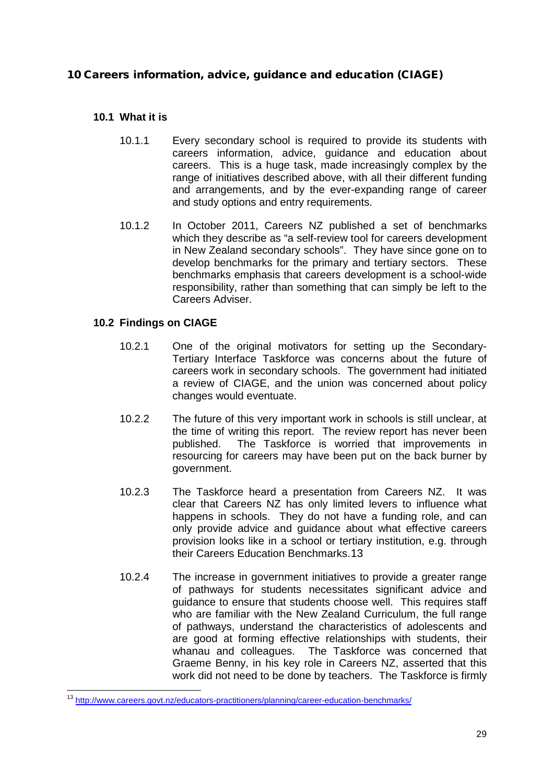#### <span id="page-30-0"></span>10 Careers information, advice, guidance and education (CIAGE)

#### **10.1 What it is**

- 10.1.1 Every secondary school is required to provide its students with careers information, advice, guidance and education about careers. This is a huge task, made increasingly complex by the range of initiatives described above, with all their different funding and arrangements, and by the ever-expanding range of career and study options and entry requirements.
- 10.1.2 In October 2011, Careers NZ published a set of benchmarks which they describe as "a self-review tool for careers development in New Zealand secondary schools". They have since gone on to develop benchmarks for the primary and tertiary sectors. These benchmarks emphasis that careers development is a school-wide responsibility, rather than something that can simply be left to the Careers Adviser.

#### **10.2 Findings on CIAGE**

- 10.2.1 One of the original motivators for setting up the Secondary-Tertiary Interface Taskforce was concerns about the future of careers work in secondary schools. The government had initiated a review of CIAGE, and the union was concerned about policy changes would eventuate.
- 10.2.2 The future of this very important work in schools is still unclear, at the time of writing this report. The review report has never been published. The Taskforce is worried that improvements in resourcing for careers may have been put on the back burner by government.
- 10.2.3 The Taskforce heard a presentation from Careers NZ. It was clear that Careers NZ has only limited levers to influence what happens in schools. They do not have a funding role, and can only provide advice and guidance about what effective careers provision looks like in a school or tertiary institution, e.g. through their Careers Education Benchmarks.[13](#page-30-1)
- 10.2.4 The increase in government initiatives to provide a greater range of pathways for students necessitates significant advice and guidance to ensure that students choose well. This requires staff who are familiar with the New Zealand Curriculum, the full range of pathways, understand the characteristics of adolescents and are good at forming effective relationships with students, their whanau and colleagues. The Taskforce was concerned that Graeme Benny, in his key role in Careers NZ, asserted that this work did not need to be done by teachers. The Taskforce is firmly

<span id="page-30-1"></span><sup>&</sup>lt;sup>13</sup> <http://www.careers.govt.nz/educators-practitioners/planning/career-education-benchmarks/>  $\overline{a}$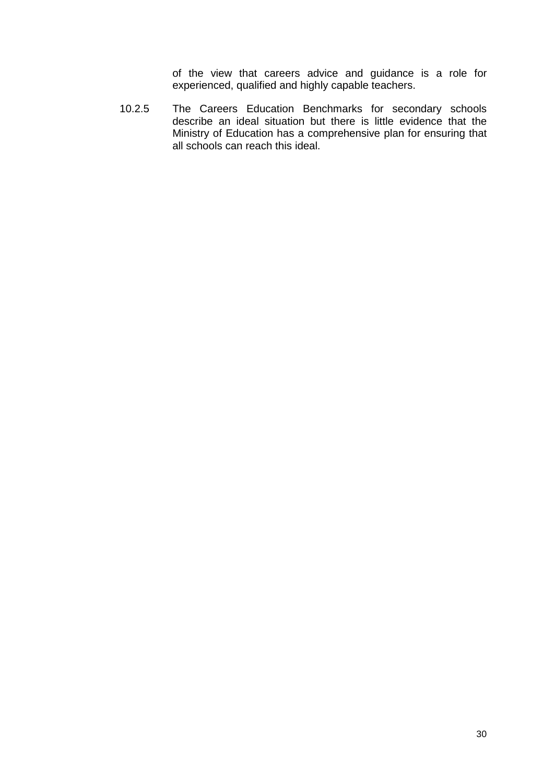of the view that careers advice and guidance is a role for experienced, qualified and highly capable teachers.

10.2.5 The Careers Education Benchmarks for secondary schools describe an ideal situation but there is little evidence that the Ministry of Education has a comprehensive plan for ensuring that all schools can reach this ideal.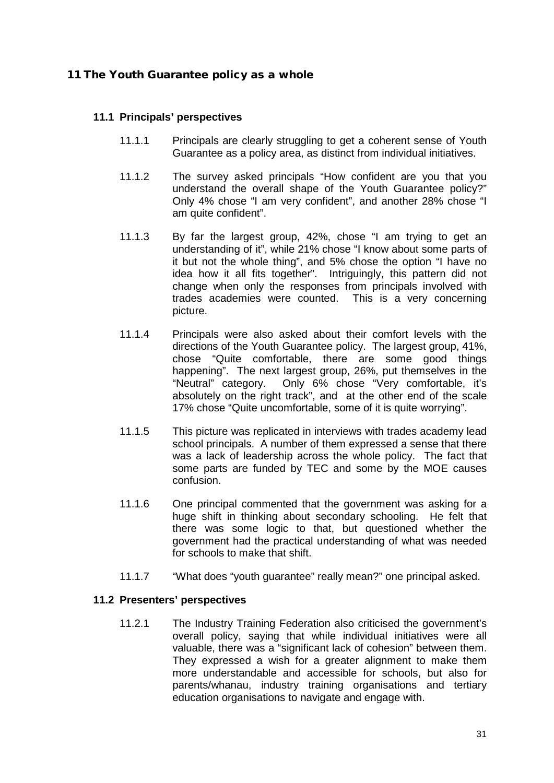#### <span id="page-32-0"></span>11 The Youth Guarantee policy as a whole

#### **11.1 Principals' perspectives**

- 11.1.1 Principals are clearly struggling to get a coherent sense of Youth Guarantee as a policy area, as distinct from individual initiatives.
- 11.1.2 The survey asked principals "How confident are you that you understand the overall shape of the Youth Guarantee policy?" Only 4% chose "I am very confident", and another 28% chose "I am quite confident".
- 11.1.3 By far the largest group, 42%, chose "I am trying to get an understanding of it", while 21% chose "I know about some parts of it but not the whole thing", and 5% chose the option "I have no idea how it all fits together". Intriguingly, this pattern did not change when only the responses from principals involved with trades academies were counted. This is a very concerning picture.
- 11.1.4 Principals were also asked about their comfort levels with the directions of the Youth Guarantee policy. The largest group, 41%, chose "Quite comfortable, there are some good things happening". The next largest group, 26%, put themselves in the "Neutral" category. Only 6% chose "Very comfortable, it's absolutely on the right track", and at the other end of the scale 17% chose "Quite uncomfortable, some of it is quite worrying".
- 11.1.5 This picture was replicated in interviews with trades academy lead school principals. A number of them expressed a sense that there was a lack of leadership across the whole policy. The fact that some parts are funded by TEC and some by the MOE causes confusion.
- 11.1.6 One principal commented that the government was asking for a huge shift in thinking about secondary schooling. He felt that there was some logic to that, but questioned whether the government had the practical understanding of what was needed for schools to make that shift.
- 11.1.7 "What does "youth guarantee" really mean?" one principal asked.

#### **11.2 Presenters' perspectives**

11.2.1 The Industry Training Federation also criticised the government's overall policy, saying that while individual initiatives were all valuable, there was a "significant lack of cohesion" between them. They expressed a wish for a greater alignment to make them more understandable and accessible for schools, but also for parents/whanau, industry training organisations and tertiary education organisations to navigate and engage with.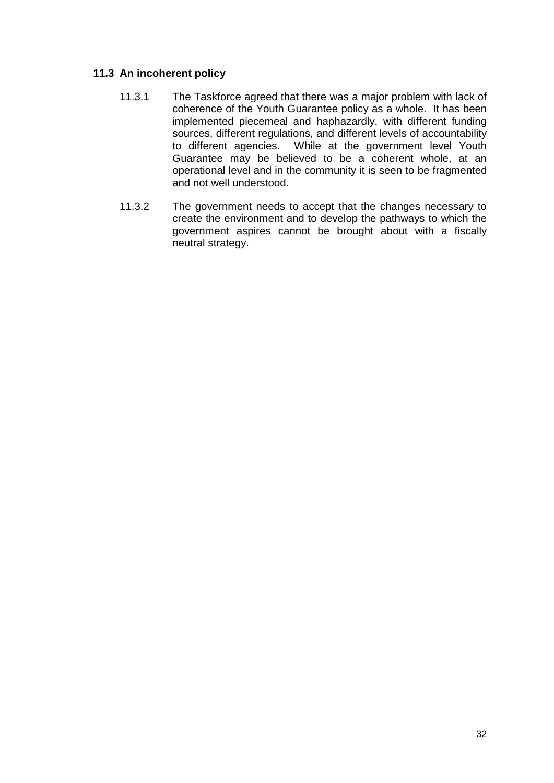#### **11.3 An incoherent policy**

- 11.3.1 The Taskforce agreed that there was a major problem with lack of coherence of the Youth Guarantee policy as a whole. It has been implemented piecemeal and haphazardly, with different funding sources, different regulations, and different levels of accountability to different agencies. While at the government level Youth Guarantee may be believed to be a coherent whole, at an operational level and in the community it is seen to be fragmented and not well understood.
- 11.3.2 The government needs to accept that the changes necessary to create the environment and to develop the pathways to which the government aspires cannot be brought about with a fiscally neutral strategy.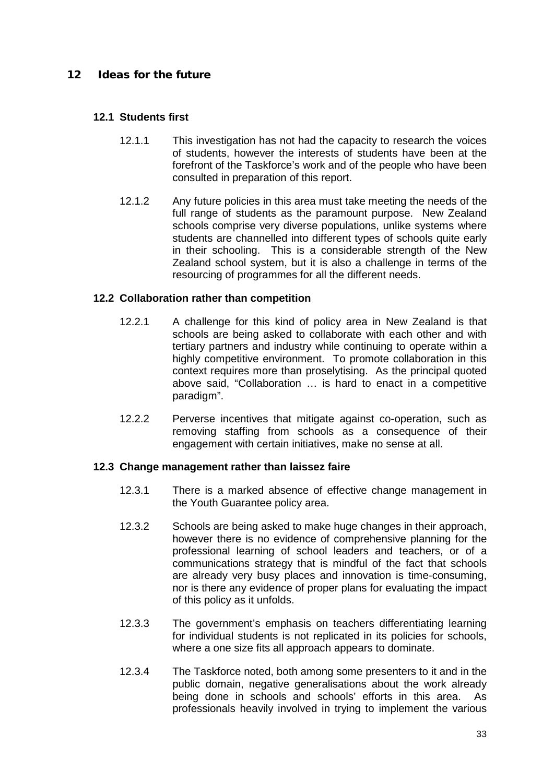#### <span id="page-34-0"></span>12 Ideas for the future

#### **12.1 Students first**

- 12.1.1 This investigation has not had the capacity to research the voices of students, however the interests of students have been at the forefront of the Taskforce's work and of the people who have been consulted in preparation of this report.
- 12.1.2 Any future policies in this area must take meeting the needs of the full range of students as the paramount purpose. New Zealand schools comprise very diverse populations, unlike systems where students are channelled into different types of schools quite early in their schooling. This is a considerable strength of the New Zealand school system, but it is also a challenge in terms of the resourcing of programmes for all the different needs.

#### **12.2 Collaboration rather than competition**

- 12.2.1 A challenge for this kind of policy area in New Zealand is that schools are being asked to collaborate with each other and with tertiary partners and industry while continuing to operate within a highly competitive environment. To promote collaboration in this context requires more than proselytising. As the principal quoted above said, "Collaboration … is hard to enact in a competitive paradigm".
- 12.2.2 Perverse incentives that mitigate against co-operation, such as removing staffing from schools as a consequence of their engagement with certain initiatives, make no sense at all.

#### **12.3 Change management rather than laissez faire**

- 12.3.1 There is a marked absence of effective change management in the Youth Guarantee policy area.
- 12.3.2 Schools are being asked to make huge changes in their approach, however there is no evidence of comprehensive planning for the professional learning of school leaders and teachers, or of a communications strategy that is mindful of the fact that schools are already very busy places and innovation is time-consuming, nor is there any evidence of proper plans for evaluating the impact of this policy as it unfolds.
- 12.3.3 The government's emphasis on teachers differentiating learning for individual students is not replicated in its policies for schools, where a one size fits all approach appears to dominate.
- 12.3.4 The Taskforce noted, both among some presenters to it and in the public domain, negative generalisations about the work already being done in schools and schools' efforts in this area. As professionals heavily involved in trying to implement the various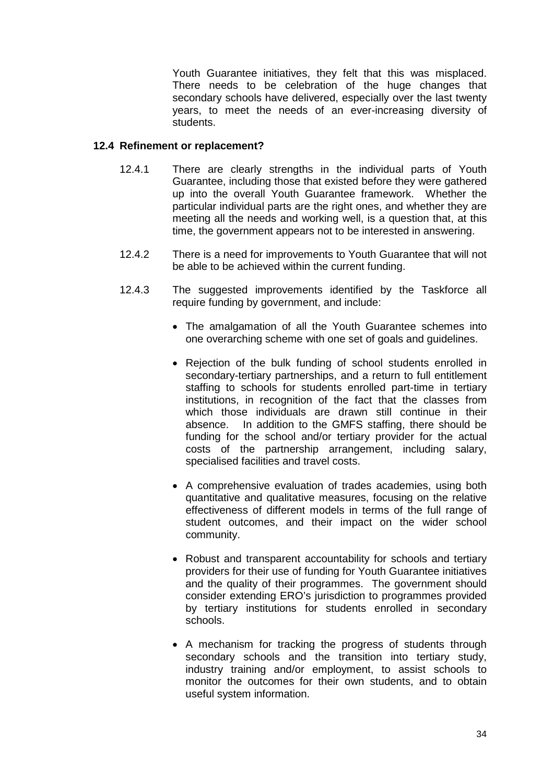Youth Guarantee initiatives, they felt that this was misplaced. There needs to be celebration of the huge changes that secondary schools have delivered, especially over the last twenty years, to meet the needs of an ever-increasing diversity of students.

#### **12.4 Refinement or replacement?**

- 12.4.1 There are clearly strengths in the individual parts of Youth Guarantee, including those that existed before they were gathered up into the overall Youth Guarantee framework. Whether the particular individual parts are the right ones, and whether they are meeting all the needs and working well, is a question that, at this time, the government appears not to be interested in answering.
- 12.4.2 There is a need for improvements to Youth Guarantee that will not be able to be achieved within the current funding.
- 12.4.3 The suggested improvements identified by the Taskforce all require funding by government, and include:
	- The amalgamation of all the Youth Guarantee schemes into one overarching scheme with one set of goals and guidelines.
	- Rejection of the bulk funding of school students enrolled in secondary-tertiary partnerships, and a return to full entitlement staffing to schools for students enrolled part-time in tertiary institutions, in recognition of the fact that the classes from which those individuals are drawn still continue in their absence. In addition to the GMFS staffing, there should be funding for the school and/or tertiary provider for the actual costs of the partnership arrangement, including salary, specialised facilities and travel costs.
	- A comprehensive evaluation of trades academies, using both quantitative and qualitative measures, focusing on the relative effectiveness of different models in terms of the full range of student outcomes, and their impact on the wider school community.
	- Robust and transparent accountability for schools and tertiary providers for their use of funding for Youth Guarantee initiatives and the quality of their programmes. The government should consider extending ERO's jurisdiction to programmes provided by tertiary institutions for students enrolled in secondary schools.
	- A mechanism for tracking the progress of students through secondary schools and the transition into tertiary study, industry training and/or employment, to assist schools to monitor the outcomes for their own students, and to obtain useful system information.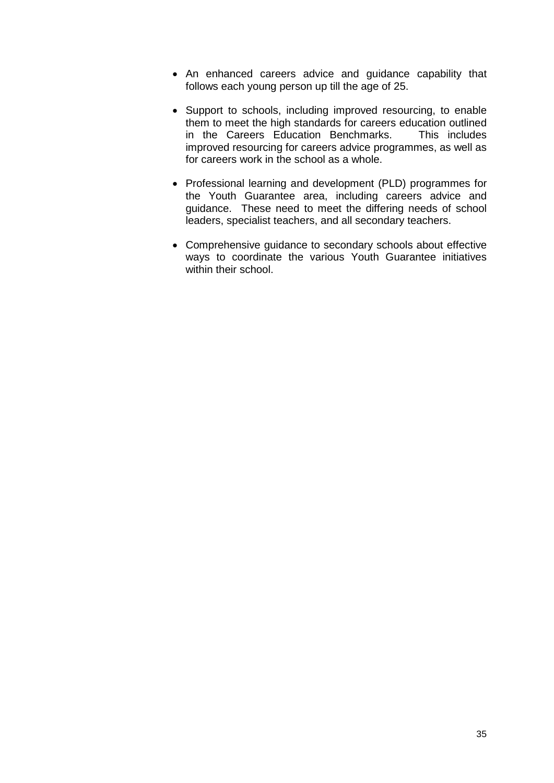- An enhanced careers advice and guidance capability that follows each young person up till the age of 25.
- Support to schools, including improved resourcing, to enable them to meet the high standards for careers education outlined<br>in the Careers Education Benchmarks. This includes in the Careers Education Benchmarks. improved resourcing for careers advice programmes, as well as for careers work in the school as a whole.
- Professional learning and development (PLD) programmes for the Youth Guarantee area, including careers advice and guidance. These need to meet the differing needs of school leaders, specialist teachers, and all secondary teachers.
- Comprehensive guidance to secondary schools about effective ways to coordinate the various Youth Guarantee initiatives within their school.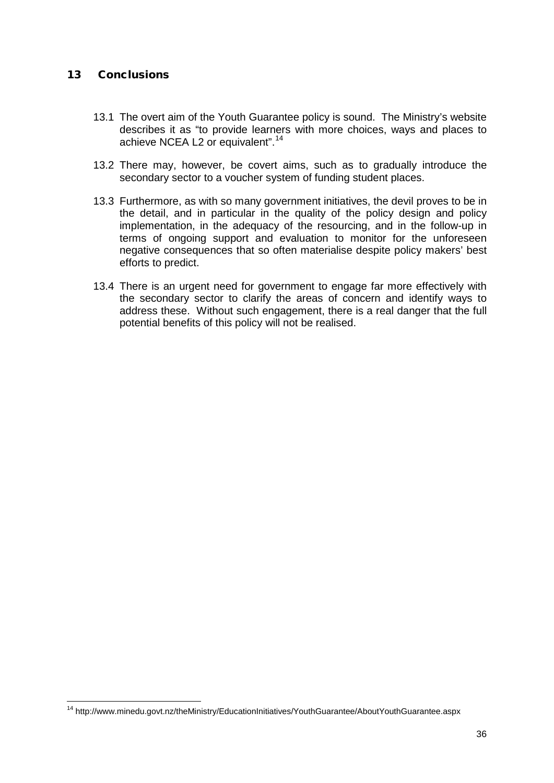#### <span id="page-37-0"></span>13 Conclusions

- 13.1 The overt aim of the Youth Guarantee policy is sound. The Ministry's website describes it as "to provide learners with more choices, ways and places to achieve NCEA L2 or equivalent".<sup>[14](#page-37-1)</sup>
- 13.2 There may, however, be covert aims, such as to gradually introduce the secondary sector to a voucher system of funding student places.
- 13.3 Furthermore, as with so many government initiatives, the devil proves to be in the detail, and in particular in the quality of the policy design and policy implementation, in the adequacy of the resourcing, and in the follow-up in terms of ongoing support and evaluation to monitor for the unforeseen negative consequences that so often materialise despite policy makers' best efforts to predict.
- 13.4 There is an urgent need for government to engage far more effectively with the secondary sector to clarify the areas of concern and identify ways to address these. Without such engagement, there is a real danger that the full potential benefits of this policy will not be realised.

<span id="page-37-1"></span><sup>&</sup>lt;sup>14</sup> http://www.minedu.govt.nz/theMinistry/EducationInitiatives/YouthGuarantee/AboutYouthGuarantee.aspx  $\overline{a}$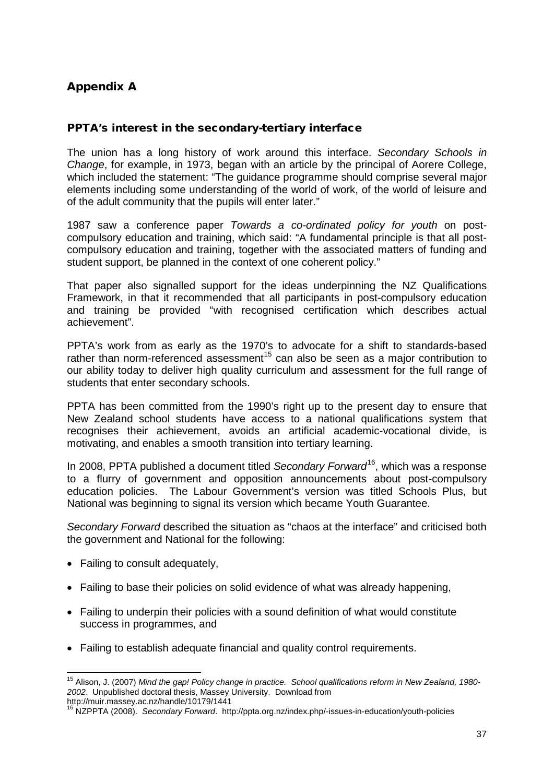#### <span id="page-38-0"></span>Appendix A

#### PPTA's interest in the secondary-tertiary interface

The union has a long history of work around this interface. *Secondary Schools in Change*, for example, in 1973, began with an article by the principal of Aorere College, which included the statement: "The guidance programme should comprise several major elements including some understanding of the world of work, of the world of leisure and of the adult community that the pupils will enter later."

1987 saw a conference paper *Towards a co-ordinated policy for youth* on postcompulsory education and training, which said: "A fundamental principle is that all postcompulsory education and training, together with the associated matters of funding and student support, be planned in the context of one coherent policy."

That paper also signalled support for the ideas underpinning the NZ Qualifications Framework, in that it recommended that all participants in post-compulsory education and training be provided "with recognised certification which describes actual achievement".

PPTA's work from as early as the 1970's to advocate for a shift to standards-based rather than norm-referenced assessment<sup>[15](#page-38-1)</sup> can also be seen as a major contribution to our ability today to deliver high quality curriculum and assessment for the full range of students that enter secondary schools.

PPTA has been committed from the 1990's right up to the present day to ensure that New Zealand school students have access to a national qualifications system that recognises their achievement, avoids an artificial academic-vocational divide, is motivating, and enables a smooth transition into tertiary learning.

In 2008, PPTA published a document titled *Secondary Forward*[16](#page-38-2), which was a response to a flurry of government and opposition announcements about post-compulsory education policies. The Labour Government's version was titled Schools Plus, but National was beginning to signal its version which became Youth Guarantee.

*Secondary Forward* described the situation as "chaos at the interface" and criticised both the government and National for the following:

- Failing to consult adequately,
- Failing to base their policies on solid evidence of what was already happening,
- Failing to underpin their policies with a sound definition of what would constitute success in programmes, and
- Failing to establish adequate financial and quality control requirements.

<span id="page-38-1"></span><sup>15</sup> Alison, J. (2007) *Mind the gap! Policy change in practice. School qualifications reform in New Zealand, 1980- 2002*. Unpublished doctoral thesis, Massey University. Download from http://muir.massey.ac.nz/handle/10179/1441  $\frac{1}{2}$ 

<span id="page-38-2"></span><sup>16</sup> NZPPTA (2008). *Secondary Forward*. http://ppta.org.nz/index.php/-issues-in-education/youth-policies